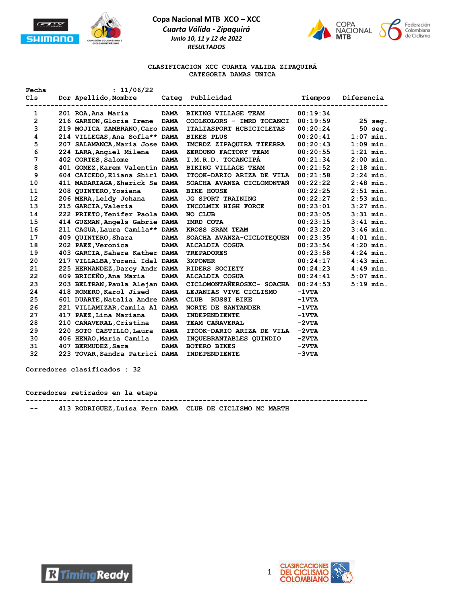



#### **CLASIFICACION XCC CUARTA VALIDA ZIPAQUIRÁ CATEGORIA DAMAS UNICA**

| Fecha             | : 11/06/22                                |             |                            |                 |             |
|-------------------|-------------------------------------------|-------------|----------------------------|-----------------|-------------|
| C1s               | Dor Apellido, Nombre                      |             | Categ Publicidad           | Tiempos         | Diferencia  |
| 1                 | 201 ROA, Ana Maria                        | <b>DAMA</b> | <b>BIKING VILLAGE TEAM</b> | 00:19:34        |             |
| $\overline{2}$    | 216 GARZON, Gloria Irene DAMA             |             | COOLKOLORS - IMRD TOCANCI  | 00:19:59        | $25$ seq.   |
| 3                 | 219 MOJICA ZAMBRANO, Caro DAMA            |             | ITALIASPORT HCBICICLETAS   | 00:20:24        | $50$ seq.   |
| 4                 | 214 VILLEGAS, Ana Sofia** DAMA BIKES PLUS |             |                            | 00:20:41        | $1:07$ min. |
| 5                 | 207 SALAMANCA, Maria Jose DAMA            |             | IMCRDZ ZIPAQUIRA TIEERRA   | 00:20:43        | $1:09$ min. |
| 6                 | 224 LARA, Angiel Milena                   | <b>DAMA</b> | ZEROUNO FACTORY TEAM       | 00:20:55        | $1:21$ min. |
| 7                 | 402 CORTES, Salome                        | <b>DAMA</b> | I.M.R.D. TOCANCIPA         | 00:21:34        | $2:00$ min. |
| 8                 | 401 GOMEZ, Karem Valentin DAMA            |             | <b>BIKING VILLAGE TEAM</b> | 00:21:52        | $2:18$ min. |
| 9                 | 604 CAICEDO, Eliana Shirl DAMA            |             | ITOOK-DARIO ARIZA DE VILA  | 00:21:58        | $2:24$ min. |
| 10                | 411 MADARIAGA, Zharick Sa DAMA            |             | SOACHA AVANZA CICLOMONTAN  | 00:22:22        | $2:48$ min. |
| 11                | 208 QUINTERO, Yosiana                     | <b>DAMA</b> | <b>BIKE HOUSE</b>          | 00:22:25        | $2:51$ min. |
| $12 \overline{ }$ | 206 MERA, Leidy Johana                    | <b>DAMA</b> | <b>JG SPORT TRAINING</b>   | 00:22:27        | $2:53$ min. |
| 13                | 215 GARCIA, Valeria                       | <b>DAMA</b> | INCOLMIX HIGH FORCE        | 00:23:01        | $3:27$ min. |
| 14                | 222 PRIETO, Yenifer Paola DAMA            |             | NO CLUB                    | 00:23:05        | $3:31$ min. |
| 15                | 414 GUZMAN, Angels Gabrie DAMA            |             | IMRD COTA                  | 00:23:15        | $3:41$ min. |
| 16                | 211 CAGUA, Laura Camila** DAMA            |             | KROSS SRAM TEAM            | 00:23:20        | $3:46$ min. |
| 17                | 409 QUINTERO, Shara                       | <b>DAMA</b> | SOACHA AVANZA-CICLOTEQUEN  | 00:23:35        | $4:01$ min. |
| 18                | 202 PAEZ, Veronica                        |             | DAMA ALCALDIA COGUA        | 00:23:54        | $4:20$ min. |
| 19                | 403 GARCIA, Sahara Kather DAMA            |             | <b>TREPADORES</b>          | 00:23:58        | $4:24$ min. |
| 20                | 217 VILLALBA, Yurani Idal DAMA            |             | <b>3XPOWER</b>             | 00:24:17        | $4:43$ min. |
| 21                | 225 HERNANDEZ, Darcy Andr DAMA            |             | <b>RIDERS SOCIETY</b>      | 00:24:23        | $4:49$ min. |
| 22                | 609 BRICEÑO, Ana Maria                    | <b>DAMA</b> | ALCALDIA COGUA             | 00:24:41        | $5:07$ min. |
| 23                | 203 BELTRAN, Paula Alejan DAMA            |             | CICLOMONTAÑEROSXC- SOACHA  | 00:24:53        | $5:19$ min. |
| 24                | 418 ROMERO, Karol Jised                   | <b>DAMA</b> | LEJANIAS VIVE CICLISMO     | $-1VTA$         |             |
| 25                | 601 DUARTE, Natalia Andre DAMA            |             | CLUB RUSSI BIKE            | $-1 \nabla T A$ |             |
| 26                | 221 VILLAMIZAR, Camila Al DAMA            |             | <b>NORTE DE SANTANDER</b>  | $-1VTA$         |             |
| 27                | 417 PAEZ, Lina Mariana                    | <b>DAMA</b> | <b>INDEPENDIENTE</b>       | $-1VTA$         |             |
| 28                | 210 CAÑAVERAL, Cristina                   | <b>DAMA</b> | TEAM CAÑAVERAL             | $-2VTA$         |             |
| 29                | 220 SOTO CASTILLO, Laura DAMA             |             | ITOOK-DARIO ARIZA DE VILA  | $-2VTA$         |             |
| 30                | 406 HENAO, Maria Camila                   | <b>DAMA</b> | INQUEBRANTABLES QUINDIO    | $-2VTA$         |             |
| 31                | 407 BERMUDEZ, Sara                        | <b>DAMA</b> | <b>BOTERO BIKES</b>        | $-2VTA$         |             |
| 32                | 223 TOVAR, Sandra Patrici DAMA            |             | INDEPENDIENTE              | $-3VTA$         |             |

**Corredores clasificados : 32**

#### **Corredores retirados en la etapa**

**-----------------------------------------------------------------------------------**

 **-- 413 RODRIGUEZ,Luisa Fern DAMA CLUB DE CICLISMO MC MARTH** 

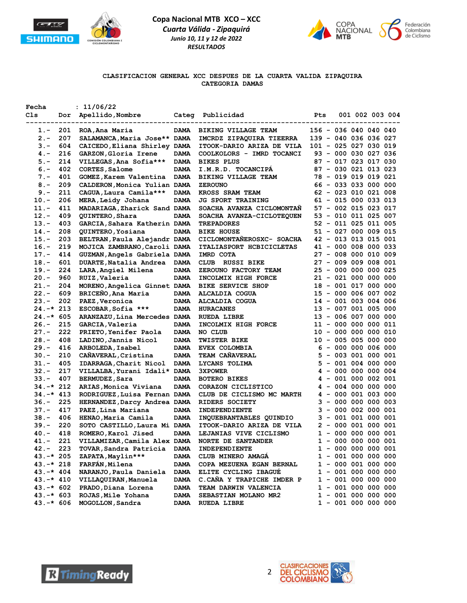



#### **CLASIFICACION GENERAL XCC DESPUES DE LA CUARTA VALIDA ZIPAQUIRA CATEGORIA DAMAS**

| Fecha<br>Cls |     | : 11/06/22<br>Dor Apellido, Nombre |             | Categ Publicidad           | Pts                   |                       |  | 001 002 003 004 |
|--------------|-----|------------------------------------|-------------|----------------------------|-----------------------|-----------------------|--|-----------------|
| 1.-          | 201 | ROA, Ana Maria                     | <b>DAMA</b> | BIKING VILLAGE TEAM        | 156 - 036 040 040 040 |                       |  |                 |
| 2.-          | 207 | SALAMANCA, Maria Jose** DAMA       |             | IMCRDZ ZIPAQUIRA TIEERRA   | 139 - 040 036 036 027 |                       |  |                 |
| $3 -$        | 604 | CAICEDO, Eliana Shirley DAMA       |             | ITOOK-DARIO ARIZA DE VILA  | 101 - 025 027 030 019 |                       |  |                 |
| $4. -$       | 216 | GARZON, Gloria Irene               | <b>DAMA</b> | COOLKOLORS - IMRD TOCANCI  |                       | 93 - 000 030 027 036  |  |                 |
| $5. -$       | 214 | VILLEGAS, Ana Sofia***             | <b>DAMA</b> | <b>BIKES PLUS</b>          |                       | 87 - 017 023 017 030  |  |                 |
| $6. -$       | 402 | CORTES, Salome                     | <b>DAMA</b> | I.M.R.D. TOCANCIPA         |                       | 87 - 030 021 013 023  |  |                 |
| $7 -$        | 401 | GOMEZ, Karem Valentina             | <b>DAMA</b> | <b>BIKING VILLAGE TEAM</b> |                       | 78 - 019 019 019 021  |  |                 |
| $8 -$        | 209 | CALDERON, Monica Yulian DAMA       |             | <b>ZEROUNO</b>             |                       | 66 - 033 033 000 000  |  |                 |
| $9 -$        | 211 | CAGUA, Laura Camila***             | <b>DAMA</b> | KROSS SRAM TEAM            |                       | 62 - 023 010 021 008  |  |                 |
| $10. -$      | 206 | MERA, Leidy Johana                 | <b>DAMA</b> | <b>JG SPORT TRAINING</b>   |                       | 61 - 015 000 033 013  |  |                 |
| $11. -$      | 411 | MADARIAGA, Zharick Sand DAMA       |             | SOACHA AVANZA CICLOMONTAN  |                       | 57 - 002 015 023 017  |  |                 |
| $12. -$      | 409 | QUINTERO, Shara                    | <b>DAMA</b> | SOACHA AVANZA-CICLOTEQUEN  |                       | 53 - 010 011 025 007  |  |                 |
| $13 -$       | 403 | GARCIA, Sahara Katherin DAMA       |             | <b>TREPADORES</b>          |                       | 52 - 011 025 011 005  |  |                 |
| $14. -$      | 208 | QUINTERO, Yosiana                  | <b>DAMA</b> | <b>BIKE HOUSE</b>          |                       | 51 - 027 000 009 015  |  |                 |
| $15. -$      | 203 | BELTRAN, Paula Alejandr DAMA       |             | CICLOMONTANEROSXC- SOACHA  |                       | 42 - 013 013 015 001  |  |                 |
| $16. -$      | 219 | MOJICA ZAMBRANO, Caroli DAMA       |             | ITALIASPORT HCBICICLETAS   |                       | 41 - 000 008 000 033  |  |                 |
| $17. -$      | 414 | GUZMAN, Angels Gabriela DAMA       |             | IMRD COTA                  |                       | 27 - 008 000 010 009  |  |                 |
| $18. -$      | 601 | DUARTE, Natalia Andrea             | <b>DAMA</b> | <b>RUSSI BIKE</b><br>CLUB  |                       | 27 - 009 009 008 001  |  |                 |
| $19. -$      | 224 | LARA, Angiel Milena                | <b>DAMA</b> | ZEROUNO FACTORY TEAM       |                       | 25 - 000 000 000 025  |  |                 |
| $20. -$      | 960 | RUIZ, Valeria                      | <b>DAMA</b> | INCOLMIX HIGH FORCE        |                       | 21 - 021 000 000 000  |  |                 |
| $21. -$      | 204 | MORENO, Angelica Ginnet DAMA       |             | <b>BIKE SERVICE SHOP</b>   |                       | 18 - 001 017 000 000  |  |                 |
| $22 -$       | 609 | BRICEÑO, Ana Maria                 | <b>DAMA</b> | ALCALDIA COGUA             |                       | 15 - 000 006 007 002  |  |                 |
| $23 -$       | 202 | PAEZ, Veronica                     | <b>DAMA</b> | ALCALDIA COGUA             |                       | 14 - 001 003 004 006  |  |                 |
| $24. -* 213$ |     | ESCOBAR, Sofia ***                 | <b>DAMA</b> | <b>HURACANES</b>           |                       | 13 - 007 001 005 000  |  |                 |
| $24.-*605$   |     | ARANZAZU, Lina Mercedes DAMA       |             | <b>RUEDA LIBRE</b>         |                       | 13 - 006 007 000 000  |  |                 |
| $26. -$      | 215 | GARCIA, Valeria                    | <b>DAMA</b> | INCOLMIX HIGH FORCE        |                       | 11 - 000 000 000 011  |  |                 |
| $27. -$      | 222 | PRIETO, Yenifer Paola              | <b>DAMA</b> | NO CLUB                    |                       | 10 - 000 000 000 010  |  |                 |
| $28. -$      | 408 | LADINO, Jannis Nicol               | <b>DAMA</b> | <b>TWISTER BIKE</b>        |                       | 10 - 005 005 000 000  |  |                 |
| $29. -$      | 416 | ARBOLEDA, Isabel                   | <b>DAMA</b> | <b>EVEX COLOMBIA</b>       |                       | $6 - 000 000 006 000$ |  |                 |
| $30 -$       | 210 | CAÑAVERAL, Cristina                | <b>DAMA</b> | <b>TEAM CANAVERAL</b>      |                       | $5 - 003 001 000 001$ |  |                 |
| $31 -$       | 405 | IDARRAGA, Charit Nicol             | <b>DAMA</b> | LYCANS TOLIMA              |                       | $5 - 001 004 000 000$ |  |                 |
| $32 -$       | 217 | VILLALBA, Yurani Idali* DAMA       |             | <b>3XPOWER</b>             |                       | $4 - 000 000 000 004$ |  |                 |
| $33 -$       | 407 | BERMUDEZ, Sara                     | <b>DAMA</b> | <b>BOTERO BIKES</b>        |                       | 4 - 001 000 002 001   |  |                 |
| 34.-* 212    |     | ARIAS, Monica Viviana              | <b>DAMA</b> | CORAZON CICLISTICO         |                       | $4 - 004 000 000 000$ |  |                 |
| $34. -* 413$ |     | RODRIGUEZ, Luisa Fernan DAMA       |             | CLUB DE CICLISMO MC MARTH  |                       | $4 - 000 001 003 000$ |  |                 |
| $36. -$      | 225 | HERNANDEZ, Darcy Andrea DAMA       |             | RIDERS SOCIETY             |                       | $3 - 000 000 000 003$ |  |                 |
| $37 -$       | 417 | PAEZ, Lina Mariana                 | <b>DAMA</b> | INDEPENDIENTE              |                       | $3 - 000002000001$    |  |                 |
| $38. -$      | 406 | HENAO, Maria Camila                | <b>DAMA</b> | INQUEBRANTABLES QUINDIO    |                       | $3 - 001 001 000 001$ |  |                 |
| $39. -$      | 220 | SOTO CASTILLO, Laura Mi DAMA       |             | ITOOK-DARIO ARIZA DE VILA  |                       | $2 - 000001000001$    |  |                 |
| $40 -$       | 418 | ROMERO, Karol Jised                | <b>DAMA</b> | LEJANIAS VIVE CICLISMO     |                       | 1 - 000 000 000 001   |  |                 |
| 41.-         | 221 | VILLAMIZAR, Camila Alex DAMA       |             | <b>NORTE DE SANTANDER</b>  |                       | $1 - 000 000 000 001$ |  |                 |
| 42.-         | 223 | TOVAR, Sandra Patricia             | <b>DAMA</b> | INDEPENDIENTE              |                       | 1 - 000 000 000 001   |  |                 |
| $43.-*205$   |     | ZAPATA, Maylin***                  | <b>DAMA</b> | CLUB MINERO AMAGA          |                       | 1 - 001 000 000 000   |  |                 |
| $43.-*218$   |     | FARFÁN, Milena                     | <b>DAMA</b> | COPA MEZUENA EGAN BERNAL   |                       | 1 - 000 001 000 000   |  |                 |
| $43. -* 404$ |     | NARANJO, Paula Daniela             | <b>DAMA</b> | ELITE CYCLING IBAGUÉ       |                       | $1 - 001 000 000 000$ |  |                 |
| $43.-*410$   |     | VILLAQUIRAN, Manuela               | <b>DAMA</b> | C.CAÑA Y TRAPICHE IMDER P  |                       | $1 - 001 000 000 000$ |  |                 |
| $43.-*602$   |     | PRADO, Diana Lorena                | <b>DAMA</b> | TEAM DARWIN VALENCIA       |                       | 1 - 001 000 000 000   |  |                 |
| $43.-* 603$  |     | ROJAS, Mile Yohana                 | <b>DAMA</b> | SEBASTIAN MOLANO MR2       |                       | $1 - 001 000 000 000$ |  |                 |
| $43.-* 606$  |     | MOGOLLON, Sandra                   | <b>DAMA</b> | <b>RUEDA LIBRE</b>         |                       | $1 - 001 000 000 000$ |  |                 |



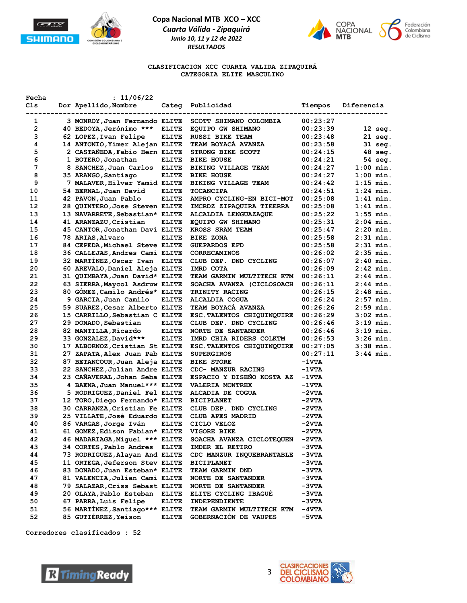



#### **CLASIFICACION XCC CUARTA VALIDA ZIPAQUIRÁ CATEGORIA ELITE MASCULINO**

| Fecha<br>Cls | : 11/06/22<br>Dor Apellido, Nombre               |              | Categ Publicidad                 | Tiempos         | Diferencia        |
|--------------|--------------------------------------------------|--------------|----------------------------------|-----------------|-------------------|
|              | --------------------<br>------------------------ |              | ----------------------           |                 |                   |
| 1            | 3 MONROY, Juan Fernando ELITE                    |              | SCOTT SHIMANO COLOMBIA           | 00:23:27        |                   |
| $\mathbf{2}$ | 40 BEDOYA, Jerónimo *** ELITE                    |              | EQUIPO GW SHIMANO                | 00:23:39        | $12$ seg.         |
| 3            | 62 LOPEZ, Ivan Felipe                            | ELITE        | <b>RUSSI BIKE TEAM</b>           | 00:23:48        | $21$ seg.         |
| 4            | 14 ANTONIO, Yimer Alejan ELITE                   |              | TEAM BOYACA AVANZA               | 00:23:58        | 31 seg.           |
| 5            | 2 CASTAÑEDA, Fabio Hern ELITE                    |              | STRONG BIKE SCOTT                | 00:24:15        | $48 \text{ seg.}$ |
| 6            | 1 BOTERO, Jonathan                               | <b>ELITE</b> | <b>BIKE HOUSE</b>                | 00:24:21        | 54 seg.           |
| 7            | 8 SANCHEZ, Juan Carlos ELITE                     |              | BIKING VILLAGE TEAM              | 00:24:27        | $1:00$ min.       |
| 8            | 35 ARANGO, Santiago                              | <b>ELITE</b> | <b>BIKE HOUSE</b>                | 00:24:27        | $1:00$ min.       |
| 9            | 7 MALAVER, Hilvar Yamid ELITE                    |              | BIKING VILLAGE TEAM              | 00:24:42        | $1:15$ min.       |
| 10           | 54 BERNAL, Juan David                            | <b>ELITE</b> | <b>TOCANCIPA</b>                 | 00:24:51        | $1:24$ min.       |
| 11           | 42 PAVON, Juan Pablo                             | <b>ELITE</b> | AMPRO CYCLING-EN BICI-MOT        | 00:25:08        | $1:41$ min.       |
| 12           | 28 QUINTERO, Jose Steven ELITE                   |              | IMCRDZ ZIPAQUIRA TIEERRA         | 00:25:08        | $1:41$ min.       |
| 13           | 13 NAVARRETE, Sebastian* ELITE                   |              | ALCALDIA LENGUAZAQUE             | 00:25:22        | $1:55$ min.       |
| 14           | 41 ARANZAZU, Cristian                            | <b>ELITE</b> | EQUIPO GW SHIMANO                | 00:25:31        | 2:04 min.         |
| 15           | 45 CANTOR, Jonathan Davi ELITE                   |              | KROSS SRAM TEAM                  | 00:25:47        | 2:20 min.         |
| 16           | 78 ARIAS, Alvaro                                 | <b>ELITE</b> | <b>BIKE ZONA</b>                 | 00:25:58        | 2:31 min.         |
| 17           | 84 CEPEDA, Michael Steve ELITE                   |              | <b>GUEPARDOS EFD</b>             | 00:25:58        | $2:31$ min.       |
| 18           | 36 CALLEJAS, Andres Cami ELITE                   |              | <b>CORRECAMINOS</b>              | 00:26:02        | 2:35 min.         |
| 19           | 32 MARTINEZ, Oscar Ivan ELITE                    |              | CLUB DEP. DND CYCLING            | 00:26:07        | $2:40$ min.       |
| 20           | 60 AREVALO, Daniel Aleja ELITE                   |              | IMRD COTA                        | 00:26:09        | $2:42$ min.       |
| 21           | 31 QUIMBAYA, Juan David* ELITE                   |              | <b>TEAM GARMIN MULTITECH KTM</b> | 00:26:11        | 2:44 min.         |
| 22           | 63 SIERRA, Maycol Asdruw ELITE                   |              | SOACHA AVANZA (CICLOSOACH        | 00:26:11        | $2:44$ min.       |
| 23           | 80 GÓMEZ, Camilo Andrés* ELITE                   |              | <b>TRINITY RACING</b>            | 00:26:15        | 2:48 min.         |
| 24           | 9 GARCIA, Juan Camilo                            | <b>ELITE</b> | <b>ALCALDIA COGUA</b>            | 00:26:24        | $2:57$ min.       |
| 25           | 59 SUAREZ, Cesar Alberto ELITE                   |              | TEAM BOYACA AVANZA               | 00:26:26        | 2:59 min.         |
| 26           | 15 CARRILLO, Sebastian C ELITE                   |              | ESC. TALENTOS CHIQUINQUIRE       | 00:26:29        | $3:02$ min.       |
| 27           | 29 DONADO,Sebastian                              | <b>ELITE</b> | CLUB DEP. DND CYCLING            | 00:26:46        | $3:19$ min.       |
| 28           | 82 MANTILLA, Ricardo                             | <b>ELITE</b> | <b>NORTE DE SANTANDER</b>        | 00:26:46        | $3:19$ min.       |
| 29           | 33 GONZALEZ, David***                            | <b>ELITE</b> | IMRD CHIA RIDERS COLKTM          | 00:26:53        | $3:26$ min.       |
| 30           | 17 ALBORNOZ, Cristian St ELITE                   |              | ESC. TALENTOS CHIQUINQUIRE       | 00:27:05        | $3:38$ min.       |
| 31           | 27 ZAPATA, Alex Juan Pab ELITE                   |              | <b>SUPERGIROS</b>                | 00:27:11        | $3:44$ min.       |
| 32           | 87 BETANCOUR, Juan Aleja ELITE                   |              | <b>BIKE STORE</b>                | -1vta           |                   |
| 33           | 22 SANCHEZ, Julian Andre ELITE                   |              | CDC- MANZUR RACING               | -1vta           |                   |
| 34           | 23 CAÑAVERAL, Johan Seba ELITE                   |              | ESPACIO Y DISENO KOSTA AZ        | -1vta           |                   |
| 35           | 4 BAENA, Juan Manuel *** ELITE                   |              | VALERIA MONTREX                  | $-1 \nabla T A$ |                   |
| 36           | 5 RODRIGUEZ, Daniel Fel ELITE                    |              | ALCADIA DE COGUA                 | $-2VTA$         |                   |
| 37           | 12 TORO, Diego Fernando* ELITE                   |              | <b>BICIPLANET</b>                | -2vta           |                   |
| 38           | 30 CARRANZA, Cristian Fe ELITE                   |              | CLUB DEP. DND CYCLING            | -2VTA           |                   |
| 39           | 25 VILLATE, José Eduardo ELITE                   |              | CLUB APES MADRID                 | $-2VTA$         |                   |
| 40           | 86 VARGAS, Jorge Iván                            | <b>ELITE</b> | CICLO VELOZ                      | $-2VTA$         |                   |
| 41           | 61 GOMEZ, Edison Fabian* ELITE                   |              | <b>VIGORE BIKE</b>               | $-2VTA$         |                   |
| 42           | 46 MADARIAGA, Miguel *** ELITE                   |              | SOACHA AVANZA CICLOTEQUEN        | -2vta           |                   |
| 43           | 34 CORTES, Pablo Andres ELITE                    |              | IMDER EL RETIRO                  | -3vta           |                   |
| 44           | 73 RODRIGUEZ, Alayan And ELITE                   |              | CDC MANZUR INQUEBRANTABLE        | -3vta           |                   |
| 45           | 11 ORTEGA, Jeferson Stev ELITE                   |              | <b>BICIPLANET</b>                | -3vta           |                   |
| 46           | 83 DONADO, Juan Esteban* ELITE                   |              | <b>TEAM GARMIN DND</b>           | -3vta           |                   |
| 47           | 81 VALENCIA, Julian Cami ELITE                   |              | <b>NORTE DE SANTANDER</b>        | -3vta           |                   |
| 48           | 79 SALAZAR, Criss Sebast ELITE                   |              | <b>NORTE DE SANTANDER</b>        | -3vta           |                   |
| 49           | 20 OLAYA, Pablo Esteban ELITE                    |              | ELITE CYCLING IBAGUE             | -3vta           |                   |
| 50           | 67 PARRA, Luis Felipe                            | <b>ELITE</b> | INDEPENDIENTE                    | -3vta           |                   |
| 51           | 56 MARTINEZ, Santiago*** ELITE                   |              | TEAM GARMIN MULTITECH KTM        | -4 VTA          |                   |
| 52           | 85 GUTIÉRREZ, Yeison                             | ELITE        | GOBERNACIÓN DE VAUPES            | -5vta           |                   |

**Corredores clasificados : 52**



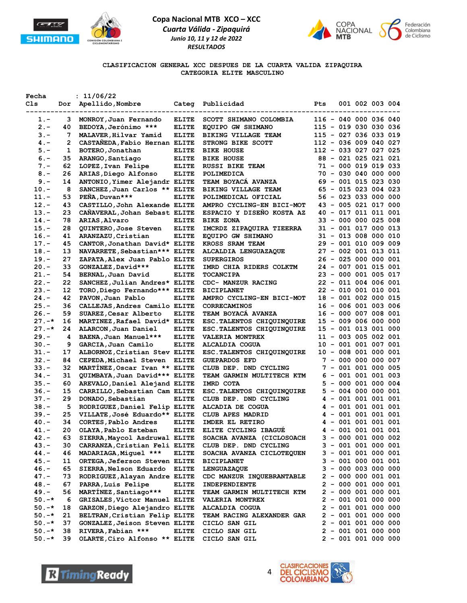



**CLASIFICACION GENERAL XCC DESPUES DE LA CUARTA VALIDA ZIPAQUIRA CATEGORIA ELITE MASCULINO**

| Fecha     |    | : 11/06/22                     |              |                                  |                       |  |                       |  |
|-----------|----|--------------------------------|--------------|----------------------------------|-----------------------|--|-----------------------|--|
| Cls.      |    | Dor Apellido, Nombre           |              | Categ Publicidad                 | Pts                   |  | 001 002 003 004       |  |
|           |    |                                |              |                                  |                       |  |                       |  |
| $1.-$     | 3  | MONROY, Juan Fernando          | <b>ELITE</b> | SCOTT SHIMANO COLOMBIA           |                       |  | 116 - 040 000 036 040 |  |
| $2 -$     | 40 | BEDOYA, Jerónimo ***           | <b>ELITE</b> | EQUIPO GW SHIMANO                |                       |  | 115 - 019 030 030 036 |  |
| $3 -$     | 7  | MALAVER, Hilvar Yamid          | <b>ELITE</b> | BIKING VILLAGE TEAM              | 115 - 027 036 033 019 |  |                       |  |
| $4. -$    | 2  | CASTAÑEDA, Fabio Hernan ELITE  |              | STRONG BIKE SCOTT                |                       |  | 112 - 036 009 040 027 |  |
| $5. -$    | 1  | BOTERO, Jonathan               | <b>ELITE</b> | <b>BIKE HOUSE</b>                |                       |  | 112 - 033 027 027 025 |  |
| $6 -$     | 35 | ARANGO, Santiago               | <b>ELITE</b> | <b>BIKE HOUSE</b>                |                       |  | 88 - 021 025 021 021  |  |
| $7. -$    | 62 | LOPEZ, Ivan Felipe             | <b>ELITE</b> | RUSSI BIKE TEAM                  |                       |  | 71 - 000 019 019 033  |  |
| $8 -$     | 26 | ARIAS, Diego Alfonso           | <b>ELITE</b> | POLIMEDICA                       |                       |  | 70 - 030 040 000 000  |  |
| $9 -$     | 14 | ANTONIO, Yimer Alejandr ELITE  |              | <b>TEAM BOYACA AVANZA</b>        |                       |  | 69 - 001 015 023 030  |  |
| $10. -$   | 8  | SANCHEZ, Juan Carlos ** ELITE  |              | BIKING VILLAGE TEAM              |                       |  | 65 - 015 023 004 023  |  |
| 11.-      | 53 | PEÑA, Duvan***                 | <b>ELITE</b> | POLIMEDICAL OFICIAL              |                       |  | 56 - 023 033 000 000  |  |
| $12. -$   | 43 | CASTILLO, John Alexande ELITE  |              | AMPRO CYCLING-EN BICI-MOT        |                       |  | 43 - 005 021 017 000  |  |
| $13.-$    | 23 | CANAVERAL, Johan Sebast ELITE  |              | ESPACIO Y DISEÑO KOSTA AZ        |                       |  | 40 - 017 011 011 001  |  |
| $14. -$   | 78 | <b>ARIAS, Alvaro</b>           | <b>ELITE</b> | <b>BIKE ZONA</b>                 |                       |  | 33 - 000 000 025 008  |  |
| $15. -$   | 28 | QUINTERO, Jose Steven          | <b>ELITE</b> | IMCRDZ ZIPAQUIRA TIEERRA         |                       |  | 31 - 001 017 000 013  |  |
| $16. -$   | 41 | ARANZAZU, Cristian             | <b>ELITE</b> | EQUIPO GW SHIMANO                |                       |  | 31 - 013 008 000 010  |  |
| $17. -$   | 45 | CANTOR, Jonathan David* ELITE  |              | KROSS SRAM TEAM                  |                       |  | 29 - 001 010 009 009  |  |
| $18. -$   | 13 | NAVARRETE, Sebastian *** ELITE |              | ALCALDIA LENGUAZAQUE             |                       |  | 27 - 002 001 013 011  |  |
| $19. -$   | 27 | ZAPATA, Alex Juan Pablo ELITE  |              | <b>SUPERGIROS</b>                |                       |  | 26 - 025 000 000 001  |  |
| $20 -$    | 33 | GONZALEZ, David***             | <b>ELITE</b> | IMRD CHIA RIDERS COLKTM          |                       |  | 24 - 007 001 015 001  |  |
| $21 -$    | 54 | BERNAL, Juan David             | <b>ELITE</b> | <b>TOCANCIPA</b>                 |                       |  | 23 - 000 001 005 017  |  |
| $22 -$    | 22 | SANCHEZ, Julian Andres* ELITE  |              | CDC- MANZUR RACING               |                       |  | 22 - 011 004 006 001  |  |
| $23 -$    | 12 | TORO, Diego Fernando*** ELITE  |              | <b>BICIPLANET</b>                |                       |  | 22 - 010 001 010 001  |  |
| $24. -$   | 42 | PAVON, Juan Pablo              | <b>ELITE</b> | AMPRO CYCLING-EN BICI-MOT        |                       |  | 18 - 001 002 000 015  |  |
| $25. -$   | 36 | CALLEJAS, Andres Camilo ELITE  |              | CORRECAMINOS                     |                       |  | 16 - 006 001 003 006  |  |
| $26. -$   | 59 | SUAREZ, Cesar Alberto          | <b>ELITE</b> | TEAM BOYACA AVANZA               |                       |  | 16 - 000 007 008 001  |  |
| $27. -*$  | 16 | MARTINEZ, Rafael David* ELITE  |              | ESC. TALENTOS CHIQUINQUIRE       |                       |  | 15 - 009 006 000 000  |  |
| $27. - *$ | 24 | ALARCON, Juan Daniel           | <b>ELITE</b> | ESC. TALENTOS CHIQUINQUIRE       |                       |  | 15 - 001 013 001 000  |  |
| 29.-      | 4  | BAENA, Juan Manuel ***         | <b>ELITE</b> | <b>VALERIA MONTREX</b>           |                       |  | 11 - 003 005 002 001  |  |
| 30.-      | 9  | GARCIA, Juan Camilo            | <b>ELITE</b> | ALCALDIA COGUA                   |                       |  | 10 - 001 001 007 001  |  |
| $31 -$    | 17 | ALBORNOZ, Cristian Stev ELITE  |              | ESC. TALENTOS CHIQUINQUIRE       |                       |  | 10 - 008 001 000 001  |  |
| $32 -$    | 84 | CEPEDA, Michael Steven ELITE   |              | <b>GUEPARDOS EFD</b>             |                       |  | 7 - 000 000 000 007   |  |
| $33 -$    | 32 | MARTINEZ, Oscar Ivan ** ELITE  |              | CLUB DEP. DND CYCLING            |                       |  | 7 - 001 001 000 005   |  |
| $34. -$   | 31 | QUIMBAYA, Juan David*** ELITE  |              | TEAM GARMIN MULTITECH KTM        |                       |  | 6 - 001 001 001 003   |  |
| $35. -$   | 60 | AREVALO, Daniel Alejand ELITE  |              | IMRD COTA                        |                       |  | 5 - 000 001 000 004   |  |
| $36. -$   | 15 | CARRILLO, Sebastian Cam ELITE  |              | ESC. TALENTOS CHIQUINQUIRE       |                       |  | $5 - 004 000 000 001$ |  |
| $37. -$   | 29 | DONADO, Sebastian              | <b>ELITE</b> | CLUB DEP. DND CYCLING            |                       |  | 4 - 001 001 001 001   |  |
| $38. -$   | 5  | RODRIGUEZ, Daniel Felip ELITE  |              | ALCADIA DE COGUA                 |                       |  | $4 - 001 001 001 001$ |  |
| 39.–      | 25 | VILLATE, José Eduardo** ELITE  |              | CLUB APES MADRID                 |                       |  | $4 - 001 001 001 001$ |  |
| 40.-      | 34 | CORTES, Pablo Andres           | <b>ELITE</b> | IMDER EL RETIRO                  |                       |  | 4 - 001 001 001 001   |  |
| 41.-      | 20 | OLAYA, Pablo Esteban           | ELITE        | ELITE CYCLING IBAGUÉ             |                       |  | 4 - 001 001 001 001   |  |
| $42. -$   | 63 | SIERRA, Maycol Asdruwal ELITE  |              | SOACHA AVANZA (CICLOSOACH        |                       |  | 3 - 000 001 000 002   |  |
| 43.-      | 30 | CARRANZA, Cristian Feli ELITE  |              | CLUB DEP. DND CYCLING            |                       |  | $3 - 001 001 000 001$ |  |
| 44.-      | 46 | MADARIAGA, Miguel ***          | ELITE        | SOACHA AVANZA CICLOTEQUEN        |                       |  | $3 - 001 001 000 001$ |  |
| 45.-      | 11 | ORTEGA, Jeferson Steven ELITE  |              | <b>BICIPLANET</b>                |                       |  | $3 - 001 000 001 001$ |  |
| $46. -$   | 65 | SIERRA, Nelson Eduardo ELITE   |              | <b>LENGUAZAQUE</b>               |                       |  | $3 - 000 003 000 000$ |  |
| 47.-      | 73 | RODRIGUEZ, Alayan Andre ELITE  |              | CDC MANZUR INQUEBRANTABLE        |                       |  | $2 - 000000001001$    |  |
| 48.-      | 67 | PARRA, Luis Felipe             | <b>ELITE</b> | INDEPENDIENTE                    |                       |  | $2 - 000001000001$    |  |
| 49.-      | 56 | MARTINEZ, Santiago***          | <b>ELITE</b> | TEAM GARMIN MULTITECH KTM        |                       |  | 2 - 000 001 000 001   |  |
| $50. -*$  | 6  | GRISALES, Victor Manuel ELITE  |              | <b>VALERIA MONTREX</b>           |                       |  | $2 - 001 001 000 000$ |  |
| $50. -*$  | 18 | GARZON, Diego Alejandro ELITE  |              | ALCALDIA COGUA                   |                       |  | $2 - 001 001 000 000$ |  |
| $50. -*$  | 21 | BELTRAN, Cristian Felip ELITE  |              | <b>TEAM RACING ALEXANDER GAR</b> |                       |  | $2 - 001 001 000 000$ |  |
| $50. -*$  | 37 | GONZALEZ, Jeison Steven ELITE  |              | CICLO SAN GIL                    |                       |  | $2 - 001 001 000 000$ |  |
| $50. -*$  | 38 | RIVERA, Fabian ***             | <b>ELITE</b> | CICLO SAN GIL                    |                       |  | $2 - 001 001 000 000$ |  |
| $50. -*$  | 39 | OLARTE, Ciro Alfonso ** ELITE  |              | CICLO SAN GIL                    |                       |  | $2 - 001 001 000 000$ |  |
|           |    |                                |              |                                  |                       |  |                       |  |



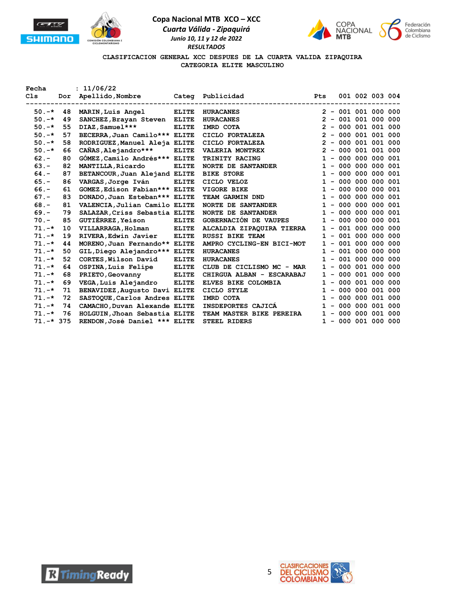





### **CLASIFICACION GENERAL XCC DESPUES DE LA CUARTA VALIDA ZIPAQUIRA CATEGORIA ELITE MASCULINO**

| Fecha                                |          | : 11/06/22                                                                                                                                                                                                                                        |              |                                                                                                            |              |  |                                                                      |  |
|--------------------------------------|----------|---------------------------------------------------------------------------------------------------------------------------------------------------------------------------------------------------------------------------------------------------|--------------|------------------------------------------------------------------------------------------------------------|--------------|--|----------------------------------------------------------------------|--|
| C1s                                  |          | Dor Apellido, Nombre Categ Publicidad                                                                                                                                                                                                             |              |                                                                                                            | <b>Pts</b>   |  | 001 002 003 004                                                      |  |
|                                      |          |                                                                                                                                                                                                                                                   |              |                                                                                                            |              |  |                                                                      |  |
| $50. -*$                             | 48       | MARIN, Luis Angel                                                                                                                                                                                                                                 | <b>ELITE</b> | <b>HURACANES</b>                                                                                           |              |  | $2 - 001 001 000 000$                                                |  |
| $50. -*$                             | 49       | SANCHEZ, Brayan Steven ELITE                                                                                                                                                                                                                      |              | <b>HURACANES</b>                                                                                           |              |  | $2 - 001 001 000 000$                                                |  |
| $50. -*$                             | 55       | DIAZ, Samuel ***                                                                                                                                                                                                                                  | <b>ELITE</b> | IMRD COTA                                                                                                  |              |  | $2 - 000001001000$                                                   |  |
| $50. -*$                             | 57       | BECERRA, Juan Camilo*** ELITE                                                                                                                                                                                                                     |              | CICLO FORTALEZA                                                                                            |              |  | $2 - 000001001000$                                                   |  |
| $50. -*$                             | 58       | RODRIGUEZ, Manuel Aleja ELITE                                                                                                                                                                                                                     |              | CICLO FORTALEZA                                                                                            |              |  | $2 - 000001001000$                                                   |  |
| $50. -*$                             | 66       | CAÑAS, Alejandro***                                                                                                                                                                                                                               | <b>ELITE</b> | VALERIA MONTREX                                                                                            |              |  | $2 - 000001001000$                                                   |  |
| $62 -$                               | 80       | GÓMEZ, Camilo Andrés*** ELITE                                                                                                                                                                                                                     |              | TRINITY RACING                                                                                             |              |  | $1 - 000 000 000 001$                                                |  |
| $63 -$                               | 82       | <b>MANTILLA, Ricardo</b>                                                                                                                                                                                                                          | <b>ELITE</b> | <b>NORTE DE SANTANDER</b>                                                                                  |              |  | $1 - 000 000 000 001$                                                |  |
| $64. -$                              | 87       | BETANCOUR, Juan Alejand ELITE                                                                                                                                                                                                                     |              | <b>BIKE STORE</b>                                                                                          |              |  | $1 - 000 000 000 001$                                                |  |
| $65. -$                              | 86       | VARGAS, Jorge Iván                                                                                                                                                                                                                                | <b>ELITE</b> | CICLO VELOZ                                                                                                | $\mathbf{1}$ |  | $-000000000001$                                                      |  |
| $66. -$                              | 61       | GOMEZ, Edison Fabian *** ELITE                                                                                                                                                                                                                    |              | VIGORE BIKE                                                                                                |              |  | $1 - 000 000 000 001$                                                |  |
| $67. -$                              | 83       | DONADO, Juan Esteban *** ELITE                                                                                                                                                                                                                    |              | TEAM GARMIN DND                                                                                            |              |  | $1 - 000 000 000 001$                                                |  |
| $68 -$                               | 81       | VALENCIA, Julian Camilo ELITE                                                                                                                                                                                                                     |              | NORTE DE SANTANDER                                                                                         |              |  | $1 - 000 000 000 001$                                                |  |
| $69. -$                              | 79       | SALAZAR, Criss Sebastia ELITE                                                                                                                                                                                                                     |              | <b>NORTE DE SANTANDER</b>                                                                                  |              |  | $1 - 000 000 000 001$                                                |  |
| $70. -$                              | 85       | <b>GUTIÉRREZ, Yeison</b>                                                                                                                                                                                                                          | <b>ELITE</b> | GOBERNACIÓN DE VAUPES                                                                                      |              |  | $1 - 000 000 000 001$                                                |  |
| $71. -*$                             | 10       | VILLARRAGA, Holman                                                                                                                                                                                                                                | <b>ELITE</b> | ALCALDIA ZIPAQUIRA TIERRA                                                                                  |              |  | $1 - 001 000 000 000$                                                |  |
| $71. -*$                             | 19       | RIVERA, Edwin Javier                                                                                                                                                                                                                              | <b>ELITE</b> | RUSSI BIKE TEAM                                                                                            |              |  | $1 - 001 000 000 000$                                                |  |
| $71. -*$                             | 44       | MORENO, Juan Fernando** ELITE                                                                                                                                                                                                                     |              | AMPRO CYCLING-EN BICI-MOT                                                                                  |              |  | $1 - 001 000 000 000$                                                |  |
| $71. -*$                             | 50       |                                                                                                                                                                                                                                                   |              | <b>HURACANES</b>                                                                                           |              |  | $1 - 001 000 000 000$                                                |  |
| $71. -*$                             | 52       | CORTES, Wilson David                                                                                                                                                                                                                              | <b>ELITE</b> | <b>HURACANES</b>                                                                                           | $\mathbf{1}$ |  | $-001000000000$                                                      |  |
| $71. -*$                             | 64       |                                                                                                                                                                                                                                                   | <b>ELITE</b> |                                                                                                            |              |  | $1 - 000001000000$                                                   |  |
| $71. -*$                             | 68       | PRIETO, Geovanny                                                                                                                                                                                                                                  | <b>ELITE</b> | CHIRGUA ALBAN - ESCARABAJ                                                                                  |              |  | $1 - 000001000000$                                                   |  |
| $71. -*$                             | 69       |                                                                                                                                                                                                                                                   | <b>ELITE</b> | ELVES BIKE COLOMBIA                                                                                        |              |  | $1 - 000001000000$                                                   |  |
| $71. -*$                             | 71       |                                                                                                                                                                                                                                                   |              |                                                                                                            |              |  | $1 - 000 000 001 000$                                                |  |
| $71. -*$                             | 72       |                                                                                                                                                                                                                                                   |              | IMRD COTA                                                                                                  | $\mathbf{1}$ |  | $-000000001000$                                                      |  |
|                                      |          |                                                                                                                                                                                                                                                   |              |                                                                                                            |              |  |                                                                      |  |
|                                      |          |                                                                                                                                                                                                                                                   |              |                                                                                                            |              |  |                                                                      |  |
|                                      |          |                                                                                                                                                                                                                                                   |              |                                                                                                            |              |  |                                                                      |  |
| $71. -*$<br>$71. -*$<br>$71. -* 375$ | 74<br>76 | GIL, Diego Alejandro*** ELITE<br>OSPINA, Luis Felipe<br>VEGA, Luis Alejandro<br>BENAVIDEZ, Augusto Davi ELITE<br>SASTOQUE, Carlos Andres ELITE<br>CAMACHO, Duvan Alexande ELITE<br>HOLGUIN, Jhoan Sebastia ELITE<br>RENDON, José Daniel *** ELITE |              | CLUB DE CICLISMO MC - MAR<br>CICLO STYLE<br>INSDEPORTES CAJICA<br>TEAM MASTER BIKE PEREIRA<br>STEEL RIDERS |              |  | $1 - 000 000 001 000$<br>$1 - 000 000 001 000$<br>$1 - 000001000000$ |  |



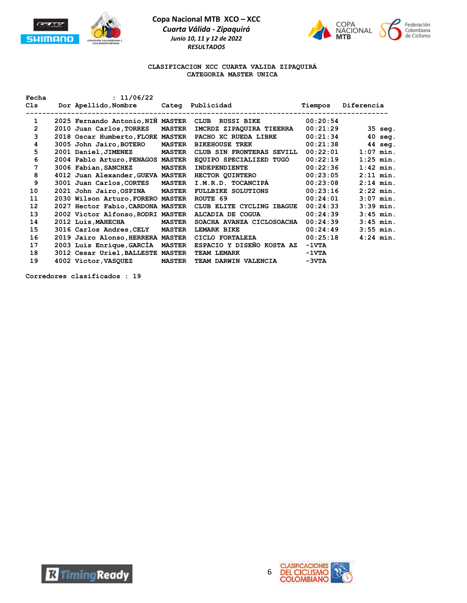



### **CLASIFICACION XCC CUARTA VALIDA ZIPAQUIRÁ CATEGORIA MASTER UNICA**

| Fecha           | : 11/06/22                        |               |                                                                                        |                 |                   |
|-----------------|-----------------------------------|---------------|----------------------------------------------------------------------------------------|-----------------|-------------------|
|                 |                                   |               | Cls Dor Apellido, Nombre Categ Publicidad                                              | Tiempos         | Diferencia        |
| $\mathbf{1}$    |                                   |               | __________________________________<br>2025 Fernando Antonio,NIÑ MASTER CLUB RUSSI BIKE | 00:20:54        |                   |
| $\overline{2}$  | 2010 Juan Carlos, TORRES MASTER   |               | IMCRDZ ZIPAQUIRA TIEERRA                                                               | 00:21:29        | $35$ seq.         |
| 3               | 2018 Oscar Humberto, FLORE MASTER |               | PACHO XC RUEDA LIBRE                                                                   | 00:21:34        | $40 \text{ seq.}$ |
| 4               | 3005 John Jairo, BOTERO MASTER    |               | <b>BIKEHOUSE TREK</b>                                                                  | 00:21:38        | $44 \text{ seq.}$ |
|                 |                                   |               |                                                                                        |                 |                   |
| 5               | 2001 Daniel, JIMENEZ MASTER       |               | CLUB SIN FRONTERAS SEVILL                                                              | 00:22:01        | $1:07$ min.       |
| 6               | 2004 Pablo Arturo, PENAGOS MASTER |               | EQUIPO SPECIALIZED TUGO                                                                | 00:22:19        | $1:25$ min.       |
| 7               | 3006 Fabian, SANCHEZ              | <b>MASTER</b> | <b>INDEPENDIENTE</b>                                                                   | 00:22:36        | $1:42$ min.       |
| 8               | 4012 Juan Alexander, GUEVA MASTER |               | <b>HECTOR QUINTERO</b>                                                                 | 00:23:05        | $2:11$ min.       |
| 9               | 3001 Juan Carlos, CORTES MASTER   |               | I.M.R.D. TOCANCIPÁ                                                                     | 00:23:08        | $2:14$ min.       |
| 10              | 2021 John Jairo, OSPINA MASTER    |               | <b>FULLBIKE SOLUTIONS</b>                                                              | 00:23:16        | $2:22$ min.       |
| 11              | 2030 Wilson Arturo, FORERO MASTER |               | ROUTE 69                                                                               | 00:24:01        | $3:07$ min.       |
| 12 <sup>2</sup> | 2027 Hector Fabio, CARDONA MASTER |               | CLUB ELITE CYCLING IBAGUE                                                              | 00:24:33        | $3:39$ min.       |
| 13              | 2002 Victor Alfonso, RODRI MASTER |               | ALCADIA DE COGUA                                                                       | 00:24:39        | $3:45$ min.       |
| 14              | 2012 Luis, MAHECHA MASTER         |               | SOACHA AVANZA CICLOSOACHA                                                              | 00:24:39        | $3:45$ min.       |
| 15              | 3016 Carlos Andres, CELY MASTER   |               | LEMARK BIKE                                                                            | 00:24:49        | $3:55$ min.       |
| 16              | 2019 Jairo Alonso, HERRERA MASTER |               | $CICLO$ FORTALEZA $00:25:18$                                                           |                 | $4:24$ min.       |
| 17              | 2003 Luis Enrique, GARCÍA MASTER  |               | ESPACIO Y DISEÑO KOSTA AZ -1VTA                                                        |                 |                   |
| 18              | 3012 Cesar Uriel, BALLESTE MASTER |               | TEAM LEMARK                                                                            | $-1 \nabla T A$ |                   |
| 19              | 4002 Victor, VASQUEZ MASTER       |               | TEAM DARWIN VALENCIA                                                                   | $-3VTA$         |                   |

**Corredores clasificados : 19**

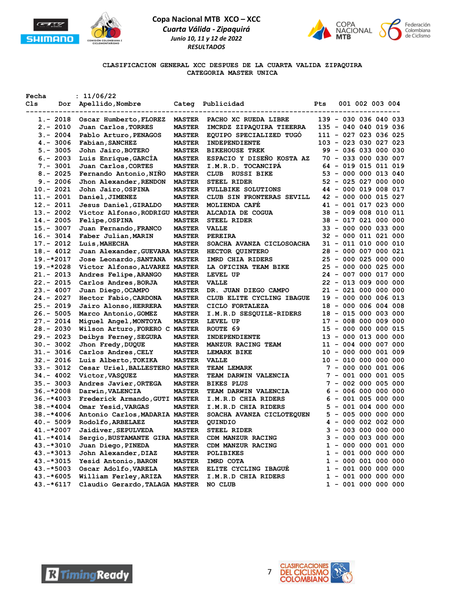



**CLASIFICACION GENERAL XCC DESPUES DE LA CUARTA VALIDA ZIPAQUIRA CATEGORIA MASTER UNICA**

| Fecha          | : 11/06/22                     |               |                           |     |  |                       |  |
|----------------|--------------------------------|---------------|---------------------------|-----|--|-----------------------|--|
| C1s            | Dor Apellido, Nombre           |               | Categ Publicidad          | Pts |  | 001 002 003 004       |  |
|                |                                |               |                           |     |  |                       |  |
| 1.- 2018       | Oscar Humberto, FLOREZ         | <b>MASTER</b> | PACHO XC RUEDA LIBRE      |     |  | 139 - 030 036 040 033 |  |
| $2. - 2010$    | Juan Carlos, TORRES            | <b>MASTER</b> | IMCRDZ ZIPAQUIRA TIEERRA  |     |  | 135 - 040 040 019 036 |  |
| $3. - 2004$    | Pablo Arturo, PENAGOS          | <b>MASTER</b> | EQUIPO SPECIALIZED TUGO   |     |  | 111 - 027 023 036 025 |  |
| $4. - 3006$    | Fabian, SANCHEZ                | <b>MASTER</b> | INDEPENDIENTE             |     |  | 103 - 023 030 027 023 |  |
| $5. - 3005$    | John Jairo, BOTERO             | <b>MASTER</b> | <b>BIKEHOUSE TREK</b>     |     |  | 99 - 036 033 000 030  |  |
| $6. - 2003$    | Luis Enrique, GARCIA           | <b>MASTER</b> | ESPACIO Y DISENO KOSTA AZ |     |  | 70 - 033 000 030 007  |  |
| $7. - 3001$    | Juan Carlos, CORTES            | <b>MASTER</b> | I.M.R.D. TOCANCIPA        |     |  | 64 - 019 015 011 019  |  |
| $8. - 2025$    | Fernando Antonio, NINO         | <b>MASTER</b> | CLUB RUSSI BIKE           |     |  | 53 - 000 000 013 040  |  |
| $9. - 2006$    | Jhon Alexander, RENDON         | <b>MASTER</b> | <b>STEEL RIDER</b>        |     |  | 52 - 025 027 000 000  |  |
| $10. - 2021$   | John Jairo, OSPINA             | <b>MASTER</b> | <b>FULLBIKE SOLUTIONS</b> |     |  | 44 - 000 019 008 017  |  |
| $11. - 2001$   | Daniel, JIMENEZ                | <b>MASTER</b> | CLUB SIN FRONTERAS SEVILL |     |  | 42 - 000 000 015 027  |  |
| $12 - 2011$    | Jesus Daniel, GIRALDO          | <b>MASTER</b> | MOLIENDA CAFE             |     |  | 41 - 001 017 023 000  |  |
| $13 - 2002$    | Victor Alfonso, RODRIGU MASTER |               | ALCADIA DE COGUA          |     |  | 38 - 009 008 010 011  |  |
| $14. - 2005$   | Felipe, OSPINA                 | <b>MASTER</b> | <b>STEEL RIDER</b>        |     |  | 38 - 017 021 000 000  |  |
| $15. - 3007$   | Juan Fernando, FRANCO          | <b>MASTER</b> | <b>VALLE</b>              |     |  | 33 - 000 000 033 000  |  |
| $16. - 3014$   | Faber Julian, MARIN            | <b>MASTER</b> | <b>PEREIRA</b>            |     |  | 32 - 000 011 021 000  |  |
| $17. - 2012$   | Luis, MAHECHA                  | <b>MASTER</b> | SOACHA AVANZA CICLOSOACHA |     |  | 31 - 011 010 000 010  |  |
| $18 - 4012$    | Juan Alexander, GUEVARA MASTER |               | HECTOR QUINTERO           |     |  | 28 - 000 007 000 021  |  |
| $19.-*2017$    | Jose Leonardo, SANTANA         | <b>MASTER</b> | IMRD CHIA RIDERS          |     |  | 25 - 000 025 000 000  |  |
| $19.-*2028$    | Victor Alfonso, ALVAREZ MASTER |               | LA OFICINA TEAM BIKE      |     |  | 25 - 000 000 025 000  |  |
| $21. - 2013$   | Andres Felipe, ARANGO          | <b>MASTER</b> | LEVEL UP                  |     |  | 24 - 007 000 017 000  |  |
| $22 - 2015$    | Carlos Andres, BORJA           | <b>MASTER</b> | <b>VALLE</b>              |     |  | 22 - 013 009 000 000  |  |
| $23 - 4007$    | Juan Diego, OCAMPO             | <b>MASTER</b> | DR. JUAN DIEGO CAMPO      |     |  | 21 - 021 000 000 000  |  |
| $24. - 2027$   | Hector Fabio, CARDONA          | <b>MASTER</b> | CLUB ELITE CYCLING IBAGUE |     |  | 19 - 000 000 006 013  |  |
| $25. - 2019$   | Jairo Alonso, HERRERA          | <b>MASTER</b> | CICLO FORTALEZA           |     |  | 18 - 000 006 004 008  |  |
| $26. - 5005$   | Marco Antonio, GOMEZ           | <b>MASTER</b> | I.M.R.D SESQUILE-RIDERS   |     |  | 18 - 015 000 003 000  |  |
| $27. - 2014$   | Miguel Angel, MONTOYA          | <b>MASTER</b> | LEVEL UP                  |     |  | 17 - 008 000 009 000  |  |
| $28 - 2030$    | Wilson Arturo, FORERO C MASTER |               | ROUTE 69                  |     |  | 15 - 000 000 000 015  |  |
| $29. - 2023$   | Deibys Ferney, SEGURA          | <b>MASTER</b> | INDEPENDIENTE             |     |  | 13 - 000 013 000 000  |  |
| $30. - 3002$   | Jhon Fredy, DUQUE              | <b>MASTER</b> | MANZUR RACING TEAM        |     |  | 11 - 004 000 007 000  |  |
| $31 - 3016$    | Carlos Andres, CELY            | <b>MASTER</b> | <b>LEMARK BIKE</b>        |     |  | 10 - 000 000 001 009  |  |
| $32 - 2016$    | Luis Alberto, TOKIKA           | <b>MASTER</b> | <b>VALLE</b>              |     |  | 10 - 010 000 000 000  |  |
| $33 - 3012$    | Cesar Uriel, BALLESTERO MASTER |               | TEAM LEMARK               |     |  | 7 - 000 000 001 006   |  |
| $34 - 4002$    | Victor, VASQUEZ                | <b>MASTER</b> | TEAM DARWIN VALENCIA      |     |  | 7 - 001 000 001 005   |  |
| $35 - 3003$    | Andres Javier, ORTEGA          | <b>MASTER</b> | <b>BIKES PLUS</b>         |     |  | $7 - 002 000 005 000$ |  |
| $36. -*2008$   | Darwin, VALENCIA               | <b>MASTER</b> | TEAM DARWIN VALENCIA      |     |  | $6 - 006 000 000 000$ |  |
| $36. - * 4003$ | Frederick Armando, GUTI MASTER |               | I.M.R.D CHIA RIDERS       |     |  | $6 - 001 005 000 000$ |  |
| $38. - * 4004$ | Omar Yesid, VARGAS             | <b>MASTER</b> | I.M.R.D CHIA RIDERS       |     |  | $5 - 001 004 000 000$ |  |
| $38. - * 4006$ | Antonio Carlos, MADARIA MASTER |               | SOACHA AVANZA CICLOTEQUEN |     |  | 5 - 005 000 000 000   |  |
| $40. - 5009$   | Rodolfo, ARBELAEZ              | <b>MASTER</b> | <b>QUINDIO</b>            |     |  | 4 - 000 002 002 000   |  |
| 41.-*2007      | Jaidiver, SEPULVEDA            | <b>MASTER</b> | STEEL RIDER               |     |  | $3 - 0030000000000$   |  |
| $41.-*4014$    | Sergio, BUSTAMANTE GIRA MASTER |               | CDM MANZUR RACING         |     |  | $3 - 000003000000$    |  |
| $43.-*3010$    | Juan Diego, PINEDA             | <b>MASTER</b> | CDM MANZUR RACING         |     |  | $1 - 000 000 001 000$ |  |
| 43. - * 3013   | John Alexander, DIAZ           | <b>MASTER</b> | <b>POLIBIKES</b>          |     |  | $1 - 001 000 000 000$ |  |
| 43. - * 3015   | Yesid Antonio, BARON           | <b>MASTER</b> | IMRD COTA                 |     |  | $1 - 000001000000$    |  |
| $43.-*5003$    | Oscar Adolfo, VARELA           | <b>MASTER</b> | ELITE CYCLING IBAGUE      |     |  | $1 - 001 000 000 000$ |  |
| $43. -*6005$   | William Ferley, ARIZA          | <b>MASTER</b> | I.M.R.D CHIA RIDERS       |     |  | $1 - 001 000 000 000$ |  |
| $43.-*6117$    | Claudio Gerardo, TALAGA MASTER |               | NO CLUB                   |     |  | $1 - 001 000 000 000$ |  |



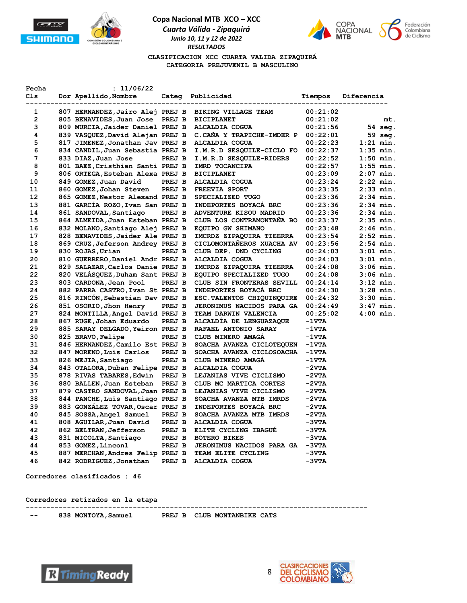





**CLASIFICACION XCC CUARTA VALIDA ZIPAQUIRÁ CATEGORIA PREJUVENIL B MASCULINO**

| Fecha          | : 11/06/22                       |        |                                                                    |          |             |
|----------------|----------------------------------|--------|--------------------------------------------------------------------|----------|-------------|
| Cls            | Dor Apellido, Nombre             |        | Categ Publicidad<br>-------------------------<br>----------------- | Tiempos  | Diferencia  |
| 1              |                                  |        | 807 HERNANDEZ, Jairo Alej PREJ B BIKING VILLAGE TEAM               | 00:21:02 |             |
| $\overline{2}$ | 805 BENAVIDES, Juan Jose PREJ B  |        | <b>BICIPLANET</b>                                                  | 00:21:02 | mt.         |
| 3              | 809 MURCIA, Jaider Daniel PREJ B |        | ALCALDIA COGUA                                                     | 00:21:56 | 54 seg.     |
| 4              | 839 VASQUEZ, David Alejan PREJ B |        | C.CAÑA Y TRAPICHE-IMDER P                                          | 00:22:01 | 59 seg.     |
| 5              | 817 JIMENEZ, Jonathan Jav PREJ B |        | ALCALDIA COGUA                                                     | 00:22:23 | $1:21$ min. |
| 6              | 834 CANDIL, Juan Sebastia PREJ B |        | I.M.R.D SESQUILE-CICLO FO                                          | 00:22:37 | $1:35$ min. |
| 7              | 833 DIAZ,Juan Jose               | PREJ B | I.M.R.D SESQUILE-RIDERS                                            | 00:22:52 | $1:50$ min. |
| 8              | 801 BAEZ, Cristhian Santi PREJ B |        | IMRD TOCANCIPA                                                     | 00:22:57 | $1:55$ min. |
| 9              | 806 ORTEGA, Esteban Alexa PREJ B |        | <b>BICIPLANET</b>                                                  | 00:23:09 | $2:07$ min. |
| 10             | 849 GOMEZ, Juan David            | PREJ B | ALCALDIA COGUA                                                     | 00:23:24 | $2:22$ min. |
| 11             | 860 GOMEZ, Johan Steven          | PREJ B | FREEVIA SPORT                                                      | 00:23:35 | $2:33$ min. |
| 12             | 865 GOMEZ, Nestor Alexand PREJ B |        | SPECIALIZED TUGO                                                   | 00:23:36 | $2:34$ min. |
| 13             | 881 GARCIA ROZO, Ivan San PREJ B |        | INDEPORTES BOYACA BRC                                              | 00:23:36 | $2:34$ min. |
| 14             | 861 SANDOVAL, Santiago           | PREJ B | ADVENTURE KISOU MADRID                                             | 00:23:36 | $2:34$ min. |
| 15             | 864 ALMEIDA, Juan Esteban PREJ B |        | CLUB LOS CONTRAMONTAÑA BO                                          | 00:23:37 | $2:35$ min. |
| 16             | 832 MOLANO, Santiago Alej PREJ B |        | EQUIPO GW SHIMANO                                                  | 00:23:48 | $2:46$ min. |
| 17             | 828 BENAVIDES, Jaider Ale PREJ B |        | IMCRDZ ZIPAQUIRA TIEERRA                                           | 00:23:54 | $2:52$ min. |
| 18             | 869 CRUZ, Jeferson Andrey PREJ B |        | CICLOMONTANEROS XUACHA AV                                          | 00:23:56 | $2:54$ min. |
| 19             | 830 ROJAS, Urian                 | PREJ B | CLUB DEP. DND CYCLING                                              | 00:24:03 | $3:01$ min. |
| 20             | 810 GUERRERO, Daniel Andr PREJ B |        | <b>ALCALDIA COGUA</b>                                              | 00:24:03 | $3:01$ min. |
| 21             | 829 SALAZAR, Carlos Danie PREJ B |        | IMCRDZ ZIPAQUIRA TIEERRA                                           | 00:24:08 | $3:06$ min. |
| 22             | 820 VELASQUEZ, Duham Sant PREJ B |        | EQUIPO SPECIALIZED TUGO                                            | 00:24:08 | $3:06$ min. |
| 23             | 803 CARDONA, Jean Pool           | PREJ B | CLUB SIN FRONTERAS SEVILL                                          | 00:24:14 | $3:12$ min. |
| 24             | 882 PARRA CASTRO, Ivan St PREJ B |        | INDEPORTES BOYACA BRC                                              | 00:24:30 | $3:28$ min. |
| 25             | 816 RINCON, Sebastian Dav PREJ B |        | ESC. TALENTOS CHIQUINQUIRE                                         | 00:24:32 | $3:30$ min. |
| 26             | 851 OSORIO, Jhon Henry           | PREJ B | JERONIMUS NACIDOS PARA GA                                          | 00:24:49 | $3:47$ min. |
| 27             | 824 MONTILLA, Angel David PREJ B |        | TEAM DARWIN VALENCIA                                               | 00:25:02 | $4:00$ min. |
| 28             | 867 RUGE, Johan Eduardo          | PREJ B | ALCALDÍA DE LENGUAZAQUE                                            | -1vta    |             |
| 29             | 885 SARAY DELGADO, Yeiron PREJ B |        | RAFAEL ANTONIO SARAY                                               | -1vta    |             |
| 30             | 825 BRAVO, Felipe                | PREJ B | CLUB MINERO AMAGA                                                  | -1vta    |             |
| 31             | 846 HERNANDEZ, Camilo Est PREJ B |        | SOACHA AVANZA CICLOTEQUEN                                          | -1vta    |             |
| 32             | 847 MORENO, Luis Carlos          | PREJ B | SOACHA AVANZA CICLOSOACHA                                          | -1vta    |             |
| 33             | 826 MEJIA, Santiago              | PREJ B | CLUB MINERO AMAGA                                                  | -1vta    |             |
| 34             | 843 OTALORA, Duban Felipe PREJ B |        | ALCALDIA COGUA                                                     | $-2VTA$  |             |
| 35             | 878 RIVAS TABARES, Edwin PREJ B  |        | LEJANIAS VIVE CICLISMO                                             | -2vta    |             |
| 36             | 880 BALLEN, Juan Esteban         | PREJ B | CLUB MC MARTICA CORTES                                             | $-2VTA$  |             |
| 37             | 879 CASTRO SANDOVAL, Juan PREJ B |        | LEJANIAS VIVE CICLISMO                                             | $-2VTA$  |             |
| 38             | 844 PANCHE, Luis Santiago PREJ B |        | SOACHA AVANZA MTB IMRDS                                            | $-2VTA$  |             |
| 39             | 883 GONZALEZ TOVAR, Oscar PREJ B |        | INDEPORTES BOYACA BRC                                              | $-2VTA$  |             |
| 40             | 845 SOSSA, Angel Samuel          | PREJ B | SOACHA AVANZA MTB IMRDS                                            | $-2VTA$  |             |
| 41             | 808 AGUILAR, Juan David          | PREJ B | ALCALDIA COGUA                                                     | $-3VTA$  |             |
| 42             | 862 BELTRAN, Jefferson           | PREJ B | ELITE CYCLING IBAGUE                                               | $-3VTA$  |             |
| 43             | 831 MICOLTA, Santiago            | PREJ B | <b>BOTERO BIKES</b>                                                | $-3VTA$  |             |
| 44             | 853 GOMEZ, Linconl               | PREJ B | JERONIMUS NACIDOS PARA GA                                          | $-3VTA$  |             |
| 45             | 887 MERCHAN, Andres Felip PREJ B |        | TEAM ELITE CYCLING                                                 | $-3VTA$  |             |
| 46             | 842 RODRIGUEZ, Jonathan          | PREJ B | <b>ALCALDIA COGUA</b>                                              | $-3VTA$  |             |

**Corredores clasificados : 46**

**Corredores retirados en la etapa**

 **-- 838 MONTOYA,Samuel PREJ B CLUB MONTANBIKE CATS** 

**-----------------------------------------------------------------------------------**



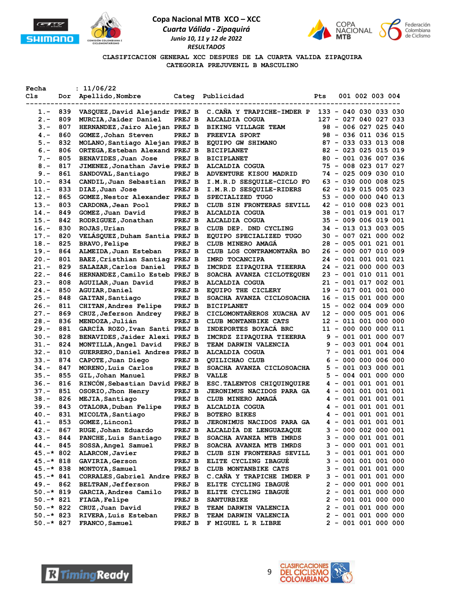





**CLASIFICACION GENERAL XCC DESPUES DE LA CUARTA VALIDA ZIPAQUIRA CATEGORIA PREJUVENIL B MASCULINO**

| Fecha      |     | : 11/06/22                     |        |                                  |     |  |                       |  |
|------------|-----|--------------------------------|--------|----------------------------------|-----|--|-----------------------|--|
| Cls        | Dor | Apellido, Nombre               |        | Categ Publicidad                 | Pts |  | 001 002 003 004       |  |
|            |     |                                |        |                                  |     |  |                       |  |
| $1.-$      | 839 | VASQUEZ, David Alejandr PREJ B |        | C.CANA Y TRAPICHE-IMDER P        |     |  | 133 - 040 030 033 030 |  |
| $2. -$     | 809 | MURCIA, Jaider Daniel          | PREJ B | ALCALDIA COGUA                   |     |  | 127 - 027 040 027 033 |  |
| 3.-        | 807 | HERNANDEZ, Jairo Alejan PREJ B |        | <b>BIKING VILLAGE TEAM</b>       |     |  | 98 - 006 027 025 040  |  |
| 4. –       | 860 | GOMEZ, Johan Steven            | PREJ B | <b>FREEVIA SPORT</b>             |     |  | 98 - 036 011 036 015  |  |
| $5. -$     | 832 | MOLANO, Santiago Alejan PREJ B |        | EQUIPO GW SHIMANO                |     |  | 87 - 033 033 013 008  |  |
| $6. -$     | 806 | ORTEGA, Esteban Alexand PREJ B |        | <b>BICIPLANET</b>                |     |  | 82 - 023 025 015 019  |  |
| $7. -$     | 805 | BENAVIDES, Juan Jose           | PREJ B | <b>BICIPLANET</b>                |     |  | 80 - 001 036 007 036  |  |
| $8 -$      | 817 | JIMENEZ, Jonathan Javie PREJ B |        | <b>ALCALDIA COGUA</b>            |     |  | 75 - 008 023 017 027  |  |
| $9. -$     | 861 | SANDOVAL, Santiago             | PREJ B | ADVENTURE KISOU MADRID           |     |  | 74 - 025 009 030 010  |  |
| $10. -$    | 834 | CANDIL, Juan Sebastian         | PREJ B | I.M.R.D SESQUILE-CICLO FO        |     |  | 63 - 030 000 008 025  |  |
| $11. -$    | 833 | DIAZ, Juan Jose                | PREJ B | I.M.R.D SESQUILE-RIDERS          |     |  | 62 - 019 015 005 023  |  |
| $12. -$    | 865 | GOMEZ, Nestor Alexander PREJ B |        | SPECIALIZED TUGO                 |     |  | 53 - 000 000 040 013  |  |
| $13 -$     | 803 | CARDONA, Jean Pool             | PREJ B | CLUB SIN FRONTERAS SEVILL        |     |  | 42 - 010 008 023 001  |  |
| $14. -$    | 849 | GOMEZ, Juan David              | PREJ B | ALCALDIA COGUA                   |     |  | 38 - 001 019 001 017  |  |
| $15. -$    | 842 | RODRIGUEZ, Jonathan            | PREJ B | <b>ALCALDIA COGUA</b>            | 35. |  | - 009 006 019 001     |  |
| $16. -$    | 830 | ROJAS, Urian                   | PREJ B | CLUB DEP. DND CYCLING            |     |  | 34 - 013 013 003 005  |  |
| $17. -$    | 820 | VELASQUEZ, Duham Santia PREJ B |        | EQUIPO SPECIALIZED TUGO          |     |  | 30 - 007 021 000 002  |  |
| $18. -$    | 825 | <b>BRAVO, Felipe</b>           | PREJ B | CLUB MINERO AMAGA                |     |  | 28 - 005 001 021 001  |  |
| $19. -$    | 864 | ALMEIDA, Juan Esteban          | PREJ B | CLUB LOS CONTRAMONTAÑA BO        |     |  | 26 - 000 007 010 009  |  |
| $20. -$    | 801 | BAEZ, Cristhian Santiag PREJ B |        | IMRD TOCANCIPA                   |     |  | 24 - 001 001 001 021  |  |
| $21. -$    | 829 | SALAZAR, Carlos Daniel         | PREJ B | IMCRDZ ZIPAQUIRA TIEERRA         |     |  | 24 - 021 000 000 003  |  |
| $22 -$     | 846 | HERNANDEZ, Camilo Esteb PREJ B |        | SOACHA AVANZA CICLOTEQUEN        | 23  |  | - 001 010 011 001     |  |
| $23 -$     | 808 | AGUILAR, Juan David            | PREJ B | ALCALDIA COGUA                   |     |  | 21 - 001 017 002 001  |  |
| $24. -$    | 850 | AGUIAR, Daniel                 | PREJ B | EQUIPO THE CICLERY               |     |  | 19 - 017 001 001 000  |  |
| $25. -$    | 848 | GAITAN, Santiago               | PREJ B | SOACHA AVANZA CICLOSOACHA        |     |  | 16 - 015 001 000 000  |  |
| $26. -$    | 811 | CHITAN, Andres Felipe          | PREJ B | <b>BICIPLANET</b>                |     |  | 15 - 002 004 009 000  |  |
| $27. -$    | 869 | CRUZ, Jeferson Andrey          | PREJ B | CICLOMONTANEROS XUACHA AV        |     |  | 12 - 000 005 001 006  |  |
| $28. -$    | 836 | MENDOZA, Julián                | PREJ B | CLUB MONTANBIKE CATS             |     |  | 12 - 011 001 000 000  |  |
| $29. -$    | 881 | GARCIA ROZO, Ivan Santi PREJ B |        | INDEPORTES BOYACA BRC            |     |  | 11 - 000 000 000 011  |  |
| $30 -$     | 828 | BENAVIDES, Jaider Alexi PREJ B |        | IMCRDZ ZIPAQUIRA TIEERRA         |     |  | 9 - 001 001 000 007   |  |
| $31 -$     | 824 | MONTILLA, Angel David          | PREJ B | <b>TEAM DARWIN VALENCIA</b>      |     |  | $9 - 003 001 004 001$ |  |
| $32 -$     | 810 | GUERRERO, Daniel Andres PREJ B |        | <b>ALCALDIA COGUA</b>            |     |  | 7 - 001 001 001 004   |  |
| $33 -$     | 874 | CAPOTE, Juan Diego             | PREJ B | QUILICHAO CLUB                   | 6   |  | - 000 000 006 000     |  |
| $34. -$    | 847 | MORENO, Luis Carlos            | PREJ B | SOACHA AVANZA CICLOSOACHA        |     |  | 5 - 001 003 000 001   |  |
| $35. -$    | 855 | GIL, Johan Manuel              | PREJ B | <b>VALLE</b>                     | 5.  |  | - 004 001 000 000     |  |
| $36. -$    | 816 | RINCÓN, Sebastian David PREJ B |        | ESC. TALENTOS CHIQUINQUIRE       |     |  | 4 - 001 001 001 001   |  |
| $37. -$    | 851 | OSORIO, Jhon Henry             | PREJ B | <b>JERONIMUS NACIDOS PARA GA</b> |     |  | 4 - 001 001 001 001   |  |
| 38.-       | 826 | MEJIA, Santiago                | PREJ B | CLUB MINERO AMAGA                |     |  | 4 - 001 001 001 001   |  |
| 39.–       | 843 | OTALORA, Duban Felipe          | PREJ B | ALCALDIA COGUA                   | 4   |  | $-001001001001$       |  |
| $40. -$    | 831 | MICOLTA, Santiago              | PREJ B | <b>BOTERO BIKES</b>              | 4   |  | - 001 001 001 001     |  |
| 41.-       | 853 | GOMEZ, Linconl                 | PREJ B | <b>JERONIMUS NACIDOS PARA GA</b> |     |  | 4 - 001 001 001 001   |  |
| 42.-       | 867 | RUGE, Johan Eduardo            | PREJ B | ALCALDÍA DE LENGUAZAQUE          |     |  | $3 - 000002000001$    |  |
| 43.-       | 844 | PANCHE, Luis Santiago          | PREJ B | SOACHA AVANZA MTB IMRDS          |     |  | $3 - 000001001001$    |  |
| 44.-       | 845 | SOSSA, Angel Samuel            | PREJ B | SOACHA AVANZA MTB IMRDS          |     |  | 3 - 000 001 001 001   |  |
| $45.-*802$ |     | ALARCON, Javier                | PREJ B | CLUB SIN FRONTERAS SEVILL        |     |  | 3 - 001 001 001 000   |  |
| 45.-* 818  |     | <b>GAVIRIA, Gerson</b>         | PREJ B | ELITE CYCLING IBAGUE             |     |  | $3 - 001001001000$    |  |
| 45.-* 838  |     | MONTOYA, Samuel                | PREJ B | CLUB MONTANBIKE CATS             |     |  | $3 - 001 001 001 000$ |  |
| $45.-*841$ |     | CORRALES, Gabriel Andre PREJ B |        | C.CAÑA Y TRAPICHE IMDER P        |     |  | $3 - 001 001 001 000$ |  |
| 49.-       | 862 | <b>BELTRAN, Jefferson</b>      | PREJ B | ELITE CYCLING IBAGUE             |     |  | $2 - 000001000001$    |  |
| $50.-*819$ |     | GARCIA, Andres Camilo          | PREJ B | ELITE CYCLING IBAGUE             |     |  | $2 - 001 001 000 000$ |  |
| $50.-*821$ |     | <b>FIAGA, Felipe</b>           | PREJ B | <b>SANTURBIKE</b>                |     |  | $2 - 001 001 000 000$ |  |
| 50.-* 822  |     | CRUZ, Juan David               | PREJ B | <b>TEAM DARWIN VALENCIA</b>      |     |  | $2 - 001 001 000 000$ |  |
| $50.-*823$ |     | RIVERA, Luis Esteban           | PREJ B | <b>TEAM DARWIN VALENCIA</b>      |     |  | $2 - 001 001 000 000$ |  |
| $50.-*827$ |     | FRANCO, Samuel                 | PREJ B | F MIGUEL L R LIBRE               |     |  | $2 - 001 001 000 000$ |  |



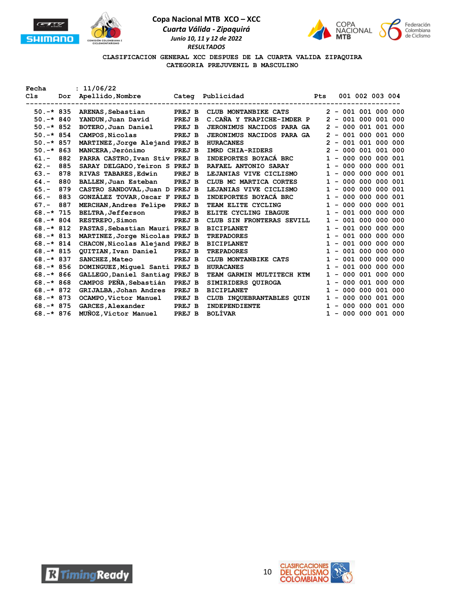





**CLASIFICACION GENERAL XCC DESPUES DE LA CUARTA VALIDA ZIPAQUIRA CATEGORIA PREJUVENIL B MASCULINO**

| Fecha        |     | : 11/06/22                     |        |                                  |              |                       |  |  |
|--------------|-----|--------------------------------|--------|----------------------------------|--------------|-----------------------|--|--|
| Cls          | Dor | Apellido,Nombre                |        | Categ Publicidad                 | Pts          | 001 002 003 004       |  |  |
|              |     |                                |        |                                  |              |                       |  |  |
| $50. -* 835$ |     | ARENAS, Sebastian              | PREJ B | CLUB MONTANBIKE CATS             |              | $2 - 001 001 000 000$ |  |  |
| $50. -* 840$ |     | YANDUN, Juan David             | PREJ B | C.CAÑA Y TRAPICHE-IMDER P        |              | $2 - 001 000 001 000$ |  |  |
| $50. -* 852$ |     | BOTERO, Juan Daniel PREJ B     |        | <b>JERONIMUS NACIDOS PARA GA</b> |              | $2 - 000001001000$    |  |  |
| $50.-*854$   |     | CAMPOS, Nicolas                | PREJ B | <b>JERONIMUS NACIDOS PARA GA</b> |              | $2 - 001 000 001 000$ |  |  |
| $50. -* 857$ |     | MARTINEZ, Jorge Alejand PREJ B |        | <b>HURACANES</b>                 |              | $2 - 001 001 000 000$ |  |  |
| $50. -* 863$ |     | MANCERA, Jerónimo              | PREJ B | IMRD CHIA-RIDERS                 |              | $2 - 000001001000$    |  |  |
| $61 -$       | 882 | PARRA CASTRO, Ivan Stiv PREJ B |        | INDEPORTES BOYACÁ BRC            |              | $1 - 000 000 000 001$ |  |  |
| $62 -$       | 885 | SARAY DELGADO, Yeiron S PREJ B |        | <b>RAFAEL ANTONIO SARAY</b>      |              | $1 - 000 000 000 001$ |  |  |
| $63 -$       | 878 | RIVAS TABARES, Edwin           | PREJ B | LEJANIAS VIVE CICLISMO           | $\mathbf{1}$ | $-000000000001$       |  |  |
| $64. -$      | 880 | BALLEN, Juan Esteban           | PREJ B | CLUB MC MARTICA CORTES           |              | $1 - 000 000 000 001$ |  |  |
| $65. -$      | 879 | CASTRO SANDOVAL, Juan D PREJ B |        | LEJANIAS VIVE CICLISMO           |              | $1 - 000 000 000 001$ |  |  |
| $66. -$      | 883 | GONZALEZ TOVAR, Oscar F PREJ B |        | INDEPORTES BOYACA BRC            |              | $1 - 000 000 000 001$ |  |  |
| $67. -$      | 887 | MERCHAN, Andres Felipe PREJ B  |        | TEAM ELITE CYCLING               |              | $1 - 000 000 000 001$ |  |  |
| $68. -* 715$ |     | <b>BELTRA, Jefferson</b>       | PREJ B | ELITE CYCLING IBAGUE             |              | $1 - 001 000 000 000$ |  |  |
| $68. -* 804$ |     | <b>RESTREPO, Simon</b>         | PREJ B | CLUB SIN FRONTERAS SEVILL        |              | $1 - 001 000 000 000$ |  |  |
| $68. -* 812$ |     | PASTAS, Sebastian Mauri PREJ B |        | <b>BICIPLANET</b>                |              | $1 - 001 000 000 000$ |  |  |
| $68. -* 813$ |     | MARTINEZ, Jorge Nicolas PREJ B |        | <b>TREPADORES</b>                | $\mathbf{1}$ | $-001000000000$       |  |  |
| $68. -* 814$ |     | CHACON, Nicolas Alejand PREJ B |        | <b>BICIPLANET</b>                |              | $1 - 001 000 000 000$ |  |  |
| $68. -* 815$ |     | QUITIAN, Ivan Daniel PREJ B    |        | <b>TREPADORES</b>                |              | $1 - 001 000 000 000$ |  |  |
| $68. -* 837$ |     | <b>SANCHEZ, Mateo</b>          | PREJ B | CLUB MONTANBIKE CATS             |              | $1 - 001 000 000 000$ |  |  |
| $68. -* 856$ |     | DOMINGUEZ, Miquel Santi PREJ B |        | <b>HURACANES</b>                 | $\mathbf{1}$ | $-001000000000$       |  |  |
| $68. -* 866$ |     | GALLEGO, Daniel Santiag PREJ B |        | TEAM GARMIN MULTITECH KTM        |              | $1 - 000001000000$    |  |  |
| $68. -* 868$ |     | CAMPOS PEÑA, Sebastián PREJ B  |        | SIMIRIDERS QUIROGA               |              | $1 - 000001000000$    |  |  |
| $68. -* 872$ |     | GRIJALBA, Johan Andres PREJ B  |        | <b>BICIPLANET</b>                |              | $1 - 000 000 001 000$ |  |  |
| $68. -* 873$ |     | OCAMPO, Victor Manuel          | PREJ B | CLUB INQUEBRANTABLES QUIN        |              | $1 - 000 000 001 000$ |  |  |
| $68. -* 875$ |     | <b>GARCES, Alexander</b>       | PREJ B | <b>INDEPENDIENTE</b>             |              | $1 - 000 000 001 000$ |  |  |
| $68. -* 876$ |     | MUÑOZ, Víctor Manuel           | PREJ B | <b>BOLÍVAR</b>                   |              | $1 - 000 000 001 000$ |  |  |



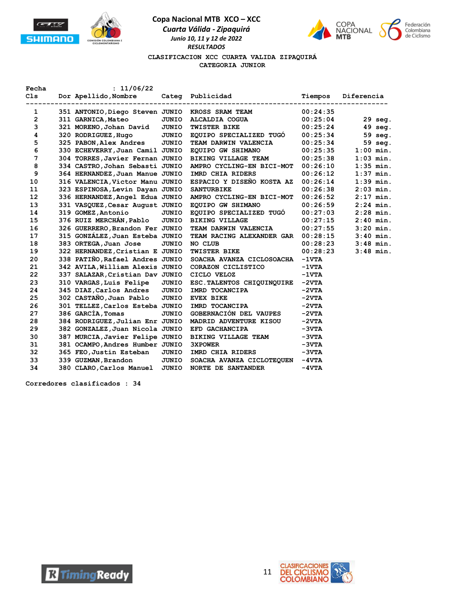



### **CLASIFICACION XCC CUARTA VALIDA ZIPAQUIRÁ CATEGORIA JUNIOR**

| Fecha | : 11/06/22                      |                                    |                                             |          |             |
|-------|---------------------------------|------------------------------------|---------------------------------------------|----------|-------------|
| C1s   | Dor Apellido, Nombre            | . <u>- - - - - - - - - - - -</u> - | Categ Publicidad<br>----------------------- | Tiempos  | Diferencia  |
| 1     | 351 ANTONIO, Diego Steven JUNIO |                                    | <b>KROSS SRAM TEAM</b>                      | 00:24:35 |             |
| 2     | 311 GARNICA, Mateo              | JUNIO                              | ALCALDIA COGUA                              | 00:25:04 | 29 seg.     |
| 3     | 321 MORENO, Johan David         | JUNIO                              | TWISTER BIKE                                | 00:25:24 | 49 seg.     |
| 4     | 320 RODRIGUEZ, Hugo             | JUNIO                              | EQUIPO SPECIALIZED TUGO                     | 00:25:34 | 59 seg.     |
| 5     | 325 PABON, Alex Andres          | <b>JUNIO</b>                       | TEAM DARWIN VALENCIA                        | 00:25:34 | 59 seg.     |
| 6     | 330 ECHEVERRY, Juan Camil JUNIO |                                    | EQUIPO GW SHIMANO                           | 00:25:35 | $1:00$ min. |
| 7     | 304 TORRES, Javier Fernan JUNIO |                                    | <b>BIKING VILLAGE TEAM</b>                  | 00:25:38 | $1:03$ min. |
| 8     | 334 CASTRO, Johan Sebasti JUNIO |                                    | AMPRO CYCLING-EN BICI-MOT                   | 00:26:10 | $1:35$ min. |
| 9     | 364 HERNANDEZ, Juan Manue JUNIO |                                    | IMRD CHIA RIDERS                            | 00:26:12 | $1:37$ min. |
| 10    | 316 VALENCIA, Victor Manu JUNIO |                                    | ESPACIO Y DISEÑO KOSTA AZ                   | 00:26:14 | $1:39$ min. |
| 11    | 323 ESPINOSA, Levin Dayan JUNIO |                                    | <b>SANTURBIKE</b>                           | 00:26:38 | $2:03$ min. |
| 12    | 336 HERNANDEZ, Angel Edua JUNIO |                                    | AMPRO CYCLING-EN BICI-MOT                   | 00:26:52 | $2:17$ min. |
| 13    | 331 VASQUEZ, Cesar August JUNIO |                                    | EQUIPO GW SHIMANO                           | 00:26:59 | $2:24$ min. |
| 14    | 319 GOMEZ, Antonio              | <b>JUNIO</b>                       | EQUIPO SPECIALIZED TUGO                     | 00:27:03 | $2:28$ min. |
| 15    | 376 RUIZ MERCHÁN, Pablo         | <b>JUNIO</b>                       | <b>BIKING VILLAGE</b>                       | 00:27:15 | $2:40$ min. |
| 16    | 326 GUERRERO, Brandon Fer JUNIO |                                    | TEAM DARWIN VALENCIA                        | 00:27:55 | $3:20$ min. |
| 17    | 315 GONZÁLEZ, Juan Esteba JUNIO |                                    | TEAM RACING ALEXANDER GAR                   | 00:28:15 | $3:40$ min. |
| 18    | 383 ORTEGA, Juan Jose           | <b>JUNIO</b>                       | NO CLUB                                     | 00:28:23 | $3:48$ min. |
| 19    | 322 HERNANDEZ, Cristian E JUNIO |                                    | <b>TWISTER BIKE</b>                         | 00:28:23 | $3:48$ min. |
| 20    | 338 PATIÑO, Rafael Andres JUNIO |                                    | SOACHA AVANZA CICLOSOACHA                   | $-1$ VTA |             |
| 21    | 342 AVILA, William Alexis JUNIO |                                    | CORAZON CICLISTICO                          | $-1$ VTA |             |
| 22    | 337 SALAZAR, Cristian Dav JUNIO |                                    | CICLO VELOZ                                 | $-1$ VTA |             |
| 23    | 310 VARGAS, Luis Felipe         | JUNIO                              | ESC. TALENTOS CHIQUINQUIRE                  | $-2VTA$  |             |
| 24    | 345 DIAZ, Carlos Andres         | <b>JUNIO</b>                       | IMRD TOCANCIPA                              | $-2VTA$  |             |
| 25    | 302 CASTAÑO, Juan Pablo         | JUNIO                              | <b>EVEX BIKE</b>                            | $-2VTA$  |             |
| 26    | 301 TELLEZ, Carlos Esteba JUNIO |                                    | IMRD TOCANCIPA                              | $-2VTA$  |             |
| 27    | 386 GARCIA, Tomas               | JUNIO                              | GOBERNACIÓN DEL VAUPES                      | $-2VTA$  |             |
| 28    | 384 RODRIGUEZ, Julian Enr JUNIO |                                    | MADRID ADVENTURE KISOU                      | $-2VTA$  |             |
| 29    | 382 GONZALEZ, Juan Nicola JUNIO |                                    | EFD GACHANCIPA                              | $-3VTA$  |             |
| 30    | 387 MURCIA, Javier Felipe JUNIO |                                    | BIKING VILLAGE TEAM                         | $-3VTA$  |             |
| 31    | 381 OCAMPO, Andres Humber JUNIO |                                    | <b>3XPOWER</b>                              | $-3VTA$  |             |
| 32    | 365 FEO, Justin Esteban         | <b>JUNIO</b>                       | IMRD CHIA RIDERS                            | $-3VTA$  |             |
| 33    | 339 GUZMAN, Brandon             | JUNIO                              | SOACHA AVANZA CICLOTEQUEN                   | $-4VTA$  |             |
| 34    | 380 CLARO, Carlos Manuel        | <b>JUNIO</b>                       | <b>NORTE DE SANTANDER</b>                   | $-4VTA$  |             |

**Corredores clasificados : 34**



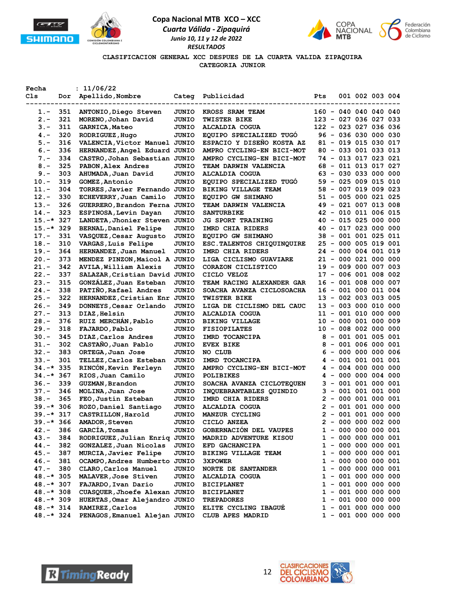





**CLASIFICACION GENERAL XCC DESPUES DE LA CUARTA VALIDA ZIPAQUIRA CATEGORIA JUNIOR**

| Fecha         |     | : 11/06/22                    |              |                            |     |  |                       |  |
|---------------|-----|-------------------------------|--------------|----------------------------|-----|--|-----------------------|--|
| Cls           |     | Dor Apellido, Nombre          |              | Categ Publicidad           | Pts |  | 001 002 003 004       |  |
| ------------- |     |                               |              |                            |     |  |                       |  |
| $1.-$         | 351 | ANTONIO, Diego Steven         | JUNIO        | KROSS SRAM TEAM            |     |  | 160 - 040 040 040 040 |  |
| $2 -$         | 321 | MORENO, Johan David           | JUNIO        | <b>TWISTER BIKE</b>        |     |  | 123 - 027 036 027 033 |  |
| $3 -$         | 311 | GARNICA, Mateo                | JUNIO        | ALCALDIA COGUA             |     |  | 122 - 023 027 036 036 |  |
| $4 -$         | 320 | RODRIGUEZ, Hugo               | JUNIO        | EQUIPO SPECIALIZED TUGO    |     |  | 96 - 036 030 000 030  |  |
| $5 -$         | 316 | VALENCIA, Victor Manuel JUNIO |              | ESPACIO Y DISEÑO KOSTA AZ  |     |  | 81 - 019 015 030 017  |  |
| $6. -$        | 336 | HERNANDEZ, Angel Eduard JUNIO |              | AMPRO CYCLING-EN BICI-MOT  |     |  | 80 - 033 001 033 013  |  |
| $7 -$         | 334 | CASTRO, Johan Sebastian JUNIO |              | AMPRO CYCLING-EN BICI-MOT  |     |  | 74 - 013 017 023 021  |  |
| $8 -$         | 325 | PABON, Alex Andres            | JUNIO        | TEAM DARWIN VALENCIA       |     |  | 68 - 011 013 017 027  |  |
| $9 -$         | 303 | AHUMADA, Juan David           | JUNIO        | ALCALDIA COGUA             |     |  | 63 - 030 033 000 000  |  |
| $10. -$       | 319 | GOMEZ, Antonio                | JUNIO        | EOUIPO SPECIALIZED TUGO    |     |  | 59 - 025 009 015 010  |  |
| $11. -$       | 304 | TORRES, Javier Fernando JUNIO |              | <b>BIKING VILLAGE TEAM</b> |     |  | 58 - 007 019 009 023  |  |
| $12. -$       | 330 | ECHEVERRY, Juan Camilo        | JUNIO        | EQUIPO GW SHIMANO          |     |  | 51 - 005 000 021 025  |  |
| $13. -$       | 326 | GUERRERO, Brandon Ferna JUNIO |              | TEAM DARWIN VALENCIA       |     |  | 49 - 021 007 013 008  |  |
| $14. -$       | 323 | ESPINOSA, Levin Dayan         | JUNIO        | <b>SANTURBIKE</b>          |     |  | 42 - 010 011 006 015  |  |
| $15.-*327$    |     | LANDETA, Jhonier Steven JUNIO |              | <b>JG SPORT TRAINING</b>   |     |  | 40 - 015 025 000 000  |  |
| $15.-*329$    |     | <b>BERNAL, Daniel Felipe</b>  | JUNIO        | IMRD CHIA RIDERS           |     |  | 40 - 017 023 000 000  |  |
| $17. -$       | 331 | VASQUEZ, Cesar Augusto        | JUNIO        | EQUIPO GW SHIMANO          |     |  | 38 - 001 001 025 011  |  |
| $18. -$       | 310 | VARGAS, Luis Felipe           | JUNIO        | ESC. TALENTOS CHIQUINQUIRE |     |  | 25 - 000 005 019 001  |  |
| $19. -$       | 364 | HERNANDEZ, Juan Manuel        | <b>JUNIO</b> | IMRD CHIA RIDERS           |     |  | 24 - 000 004 001 019  |  |
| $20. -$       | 373 | MENDEZ PINZON, Maicol A JUNIO |              | LIGA CICLISMO GUAVIARE     |     |  | 21 - 000 021 000 000  |  |
| $21. -$       | 342 | AVILA, William Alexis         | JUNIO        | CORAZON CICLISTICO         |     |  | 19 - 009 000 007 003  |  |
| $22 -$        | 337 |                               |              | CICLO VELOZ                |     |  | 17 - 006 001 008 002  |  |
|               |     | SALAZAR, Cristian David JUNIO |              |                            |     |  |                       |  |
| $23 -$        | 315 | GONZÁLEZ, Juan Esteban        | <b>JUNIO</b> | TEAM RACING ALEXANDER GAR  |     |  | 16 - 001 008 000 007  |  |
| $24. -$       | 338 | PATIÑO, Rafael Andres         | JUNIO        | SOACHA AVANZA CICLOSOACHA  |     |  | 16 - 001 000 011 004  |  |
| $25. -$       | 322 | HERNANDEZ, Cristian Enr JUNIO |              | TWISTER BIKE               |     |  | 13 - 002 003 003 005  |  |
| $26. -$       | 349 | DONNEYS, Cesar Orlando        | JUNIO        | LIGA DE CICLISMO DEL CAUC  |     |  | 13 - 003 000 010 000  |  |
| $27. -$       | 313 | DIAZ, Helsin                  | JUNIO        | ALCALDIA COGUA             |     |  | 11 - 001 010 000 000  |  |
| $28. -$       | 376 | RUIZ MERCHÁN, Pablo           | JUNIO        | <b>BIKING VILLAGE</b>      |     |  | 10 - 000 001 000 009  |  |
| $29. -$       | 318 | FAJARDO, Pablo                | JUNIO        | <b>FISIOPILATES</b>        |     |  | 10 - 008 002 000 000  |  |
| 30.-          | 345 | DIAZ, Carlos Andres           | JUNIO        | IMRD TOCANCIPA             |     |  | $8 - 001 001 005 001$ |  |
| 31.-          | 302 | CASTAÑO, Juan Pablo           | JUNIO        | <b>EVEX BIKE</b>           |     |  | $8 - 001 006 000 001$ |  |
| $32 -$        | 383 | ORTEGA, Juan Jose             | JUNIO        | NO CLUB                    |     |  | $6 - 000 000 000 006$ |  |
| $33 -$        | 301 | TELLEZ, Carlos Esteban        | JUNIO        | IMRD TOCANCIPA             |     |  | 4 - 001 001 001 001   |  |
| $34. -* 335$  |     | RINCON, Kevin Ferleyn         | JUNIO        | AMPRO CYCLING-EN BICI-MOT  |     |  | 4 - 004 000 000 000   |  |
| $34.-*367$    |     | RIOS, Juan Camilo             | <b>JUNIO</b> | <b>POLIBIKES</b>           |     |  | 4 - 000 000 004 000   |  |
| 36.-          | 339 | GUZMAN, Brandon               | <b>JUNIO</b> | SOACHA AVANZA CICLOTEQUEN  |     |  | 3 - 001 001 000 001   |  |
| $37 -$        | 346 | MOLINA, Juan Jose             | JUNIO        | INQUEBRANTABLES QUINDIO    |     |  | 3 - 001 001 001 000   |  |
| 38.-          | 365 | FEO, Justin Esteban           | JUNIO        | IMRD CHIA RIDERS           |     |  | $2 - 000001000001$    |  |
| $39. -* 306$  |     | ROZO, Daniel Santiago         | JUNIO        | ALCALDIA COGUA             |     |  | $2 - 001001000000$    |  |
| 39.-* 317     |     | CASTRILLON, Harold            | <b>JUNIO</b> | MANZUR CYCLING             |     |  | $2 - 001 001 000 000$ |  |
| $39. -* 366$  |     | <b>AMADOR, Steven</b>         | JUNIO        | CICLO ANZEA                |     |  | $2 - 000 000 002 000$ |  |
| 42.-          | 386 | GARCIA, Tomas                 | JUNIO        | GOBERNACIÓN DEL VAUPES     |     |  | $1 - 000 000 000 001$ |  |
| 43.-          | 384 | RODRIGUEZ, Julian Enriq JUNIO |              | MADRID ADVENTURE KISOU     |     |  | $1 - 000 000 000 001$ |  |
| 44.-          | 382 | GONZALEZ, Juan Nicolas        | JUNIO        | EFD GACHANCIPA             |     |  | 1 - 000 000 000 001   |  |
| 45.-          | 387 | MURCIA, Javier Felipe         | JUNIO        | BIKING VILLAGE TEAM        |     |  | 1 - 000 000 000 001   |  |
| $46. -$       | 381 | OCAMPO, Andres Humberto JUNIO |              | <b>3XPOWER</b>             |     |  | 1 - 000 000 000 001   |  |
| 47.-          | 380 | CLARO, Carlos Manuel          | JUNIO        | <b>NORTE DE SANTANDER</b>  |     |  | 1 - 000 000 000 001   |  |
| $48. -* 305$  |     | MALAVER, Jose Stiven          | JUNIO        | ALCALDIA COGUA             |     |  | $1 - 001 000 000 000$ |  |
| $48. -* 307$  |     | FAJARDO, Ivan Dario           | JUNIO        | <b>BICIPLANET</b>          |     |  | $1 - 001 000 000 000$ |  |
| 48.-* 308     |     | CUASQUER, Jhoefe Alexan JUNIO |              | <b>BICIPLANET</b>          |     |  | $1 - 001 000 000 000$ |  |
| $48.-*309$    |     | HUERTAS, Omar Alejandro JUNIO |              | <b>TREPADORES</b>          |     |  | $1 - 001 000 000 000$ |  |
| 48.-* 314     |     | RAMIREZ, Carlos               | JUNIO        | ELITE CYCLING IBAGUE       |     |  | $1 - 001 000 000 000$ |  |
| $48. -* 324$  |     | PENAGOS, Emanuel Alejan JUNIO |              | CLUB APES MADRID           |     |  | $1 - 001 000 000 000$ |  |
|               |     |                               |              |                            |     |  |                       |  |